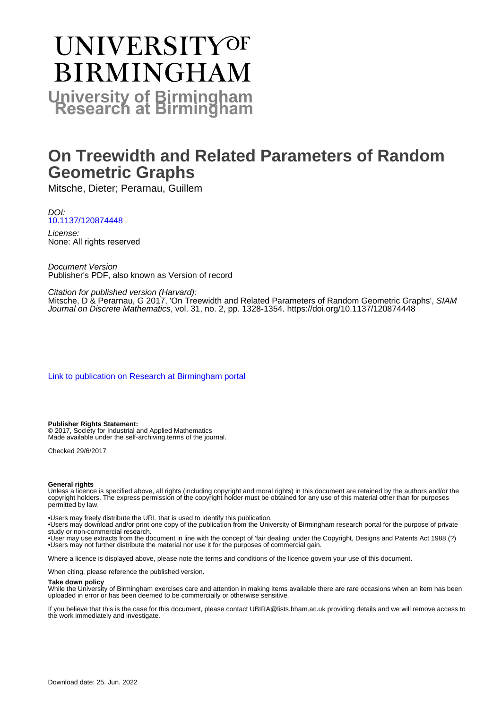# **UNIVERSITYOF BIRMINGHAM University of Birmingham**

# **On Treewidth and Related Parameters of Random Geometric Graphs**

Mitsche, Dieter; Perarnau, Guillem

DOI: [10.1137/120874448](https://doi.org/10.1137/120874448)

License: None: All rights reserved

Document Version Publisher's PDF, also known as Version of record

## Citation for published version (Harvard):

Mitsche, D & Perarnau, G 2017, 'On Treewidth and Related Parameters of Random Geometric Graphs', SIAM Journal on Discrete Mathematics, vol. 31, no. 2, pp. 1328-1354.<https://doi.org/10.1137/120874448>

[Link to publication on Research at Birmingham portal](https://birmingham.elsevierpure.com/en/publications/0722870f-3b23-45d7-bf8d-39a764de8aeb)

#### **Publisher Rights Statement:**

© 2017, Society for Industrial and Applied Mathematics Made available under the self-archiving terms of the journal.

Checked 29/6/2017

#### **General rights**

Unless a licence is specified above, all rights (including copyright and moral rights) in this document are retained by the authors and/or the copyright holders. The express permission of the copyright holder must be obtained for any use of this material other than for purposes permitted by law.

• Users may freely distribute the URL that is used to identify this publication.

• Users may download and/or print one copy of the publication from the University of Birmingham research portal for the purpose of private study or non-commercial research.

• User may use extracts from the document in line with the concept of 'fair dealing' under the Copyright, Designs and Patents Act 1988 (?) • Users may not further distribute the material nor use it for the purposes of commercial gain.

Where a licence is displayed above, please note the terms and conditions of the licence govern your use of this document.

When citing, please reference the published version.

#### **Take down policy**

While the University of Birmingham exercises care and attention in making items available there are rare occasions when an item has been uploaded in error or has been deemed to be commercially or otherwise sensitive.

If you believe that this is the case for this document, please contact UBIRA@lists.bham.ac.uk providing details and we will remove access to the work immediately and investigate.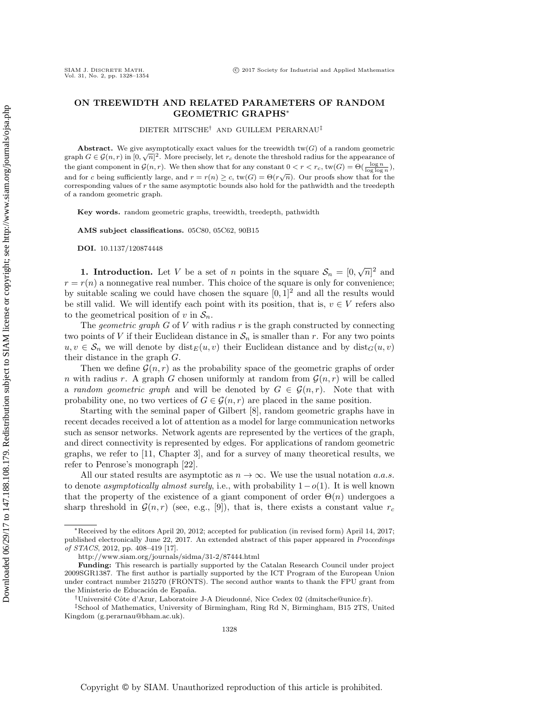### ON TREEWIDTH AND RELATED PARAMETERS OF RANDOM GEOMETRIC GRAPHS<sup>∗</sup>

DIETER MITSCHE† AND GUILLEM PERARNAU‡

Abstract. We give asymptotically exact values for the treewidth  $tw(G)$  of a random geometric graph  $G \in \mathcal{G}(n,r)$  in  $[0,\sqrt{n}]^2$ . More precisely, let  $r_c$  denote the threshold radius for the appearance of the giant component in  $\mathcal{G}(n,r)$ . We then show that for any constant  $0 < r < r_c$ , tw $(G) = \Theta(\frac{\log n}{\log \log n})$ , and for c being sufficiently large, and  $r = r(n) \ge c$ ,  $tw(G) = \Theta(r\sqrt{n})$ . Our proofs show that for the corresponding values of  $r$  the same asymptotic bounds also hold for the pathwidth and the treedepth of a random geometric graph.

Key words. random geometric graphs, treewidth, treedepth, pathwidth

AMS subject classifications. 05C80, 05C62, 90B15

DOI. 10.1137/120874448

**1. Introduction.** Let V be a set of n points in the square  $\mathcal{S}_n = [0, \sqrt{n}]^2$  and  $r = r(n)$  a nonnegative real number. This choice of the square is only for convenience; by suitable scaling we could have chosen the square  $[0, 1]^2$  and all the results would be still valid. We will identify each point with its position, that is,  $v \in V$  refers also to the geometrical position of v in  $S_n$ .

The *geometric graph*  $G$  of  $V$  with radius  $r$  is the graph constructed by connecting two points of V if their Euclidean distance in  $\mathcal{S}_n$  is smaller than r. For any two points  $u, v \in S_n$  we will denote by  $dist_E(u, v)$  their Euclidean distance and by  $dist_G(u, v)$ their distance in the graph G.

Then we define  $\mathcal{G}(n, r)$  as the probability space of the geometric graphs of order n with radius r. A graph G chosen uniformly at random from  $\mathcal{G}(n,r)$  will be called a random geometric graph and will be denoted by  $G \in \mathcal{G}(n,r)$ . Note that with probability one, no two vertices of  $G \in \mathcal{G}(n,r)$  are placed in the same position.

Starting with the seminal paper of Gilbert [\[8\]](#page-27-0), random geometric graphs have in recent decades received a lot of attention as a model for large communication networks such as sensor networks. Network agents are represented by the vertices of the graph, and direct connectivity is represented by edges. For applications of random geometric graphs, we refer to [\[11,](#page-27-1) Chapter 3], and for a survey of many theoretical results, we refer to Penrose's monograph [\[22\]](#page-27-2).

All our stated results are asymptotic as  $n \to \infty$ . We use the usual notation a.a.s. to denote asymptotically almost surely, i.e., with probability  $1-o(1)$ . It is well known that the property of the existence of a giant component of order  $\Theta(n)$  undergoes a sharp threshold in  $\mathcal{G}(n,r)$  (see, e.g., [\[9\]](#page-27-3)), that is, there exists a constant value  $r_c$ 

<sup>∗</sup>Received by the editors April 20, 2012; accepted for publication (in revised form) April 14, 2017; published electronically June 22, 2017. An extended abstract of this paper appeared in Proceedings of STACS, 2012, pp. 408–419 [\[17\]](#page-27-4).

<http://www.siam.org/journals/sidma/31-2/87444.html>

Funding: This research is partially supported by the Catalan Research Council under project 2009SGR1387. The first author is partially supported by the ICT Program of the European Union under contract number 215270 (FRONTS). The second author wants to thank the FPU grant from the Ministerio de Educación de España.

<sup>†</sup>Universit´e Cˆote d'Azur, Laboratoire J-A Dieudonn´e, Nice Cedex 02 [\(dmitsche@unice.fr\)](mailto:dmitsche@unice.fr).

<sup>‡</sup>School of Mathematics, University of Birmingham, Ring Rd N, Birmingham, B15 2TS, United Kingdom [\(g.perarnau@bham.ac.uk\)](mailto:g.perarnau@bham.ac.uk).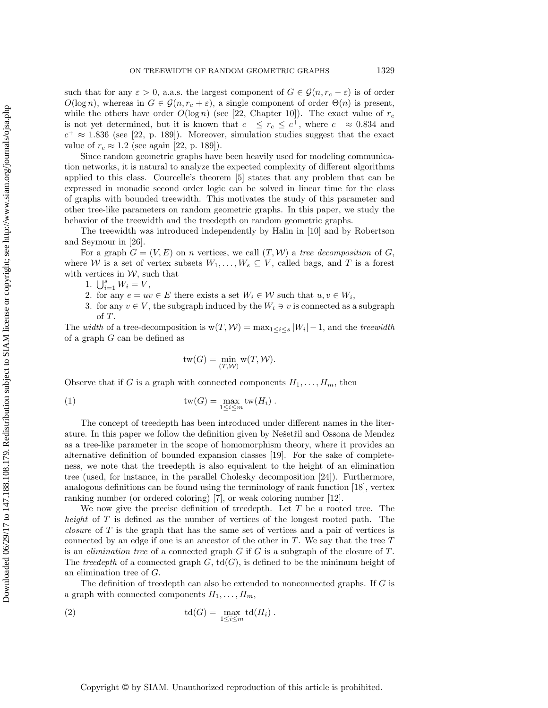such that for any  $\varepsilon > 0$ , a.a.s. the largest component of  $G \in \mathcal{G}(n, r_c - \varepsilon)$  is of order  $O(\log n)$ , whereas in  $G \in \mathcal{G}(n, r_c + \varepsilon)$ , a single component of order  $\Theta(n)$  is present, while the others have order  $O(\log n)$  (see [\[22,](#page-27-2) Chapter 10]). The exact value of  $r_c$ is not yet determined, but it is known that  $c^- \leq r_c \leq c^+$ , where  $c^- \approx 0.834$  and  $c^+ \approx 1.836$  (see [\[22,](#page-27-2) p. 189]). Moreover, simulation studies suggest that the exact value of  $r_c \approx 1.2$  (see again [\[22,](#page-27-2) p. 189]).

Since random geometric graphs have been heavily used for modeling communication networks, it is natural to analyze the expected complexity of different algorithms applied to this class. Courcelle's theorem [\[5\]](#page-27-5) states that any problem that can be expressed in monadic second order logic can be solved in linear time for the class of graphs with bounded treewidth. This motivates the study of this parameter and other tree-like parameters on random geometric graphs. In this paper, we study the behavior of the treewidth and the treedepth on random geometric graphs.

The treewidth was introduced independently by Halin in [\[10\]](#page-27-6) and by Robertson and Seymour in [\[26\]](#page-27-7).

For a graph  $G = (V, E)$  on n vertices, we call  $(T, W)$  a tree decomposition of G, where W is a set of vertex subsets  $W_1, \ldots, W_s \subseteq V$ , called bags, and T is a forest with vertices in  $W$ , such that

1.  $\bigcup_{i=1}^{s} W_i = V,$ 

- 2. for any  $e = uv \in E$  there exists a set  $W_i \in \mathcal{W}$  such that  $u, v \in W_i$ ,
- 3. for any  $v \in V$ , the subgraph induced by the  $W_i \ni v$  is connected as a subgraph of T.

The width of a tree-decomposition is  $w(T, W) = \max_{1 \leq i \leq s} |W_i| - 1$ , and the treewidth of a graph G can be defined as

<span id="page-2-1"></span>
$$
\mathrm{tw}(G) = \min_{(T,\mathcal{W})} \mathrm{w}(T,\mathcal{W}).
$$

Observe that if G is a graph with connected components  $H_1, \ldots, H_m$ , then

(1) 
$$
\operatorname{tw}(G) = \max_{1 \le i \le m} \operatorname{tw}(H_i) .
$$

The concept of treedepth has been introduced under different names in the literature. In this paper we follow the definition given by Nešetřil and Ossona de Mendez as a tree-like parameter in the scope of homomorphism theory, where it provides an alternative definition of bounded expansion classes [\[19\]](#page-27-8). For the sake of completeness, we note that the treedepth is also equivalent to the height of an elimination tree (used, for instance, in the parallel Cholesky decomposition [\[24\]](#page-27-9)). Furthermore, analogous definitions can be found using the terminology of rank function [\[18\]](#page-27-10), vertex ranking number (or ordered coloring) [\[7\]](#page-27-11), or weak coloring number [\[12\]](#page-27-12).

We now give the precise definition of treedepth. Let  $T$  be a rooted tree. The height of T is defined as the number of vertices of the longest rooted path. The *closure* of  $T$  is the graph that has the same set of vertices and a pair of vertices is connected by an edge if one is an ancestor of the other in  $T$ . We say that the tree  $T$ is an *elimination tree* of a connected graph  $G$  if  $G$  is a subgraph of the closure of  $T$ . The treedepth of a connected graph  $G$ ,  $td(G)$ , is defined to be the minimum height of an elimination tree of G.

The definition of treedepth can also be extended to nonconnected graphs. If G is a graph with connected components  $H_1, \ldots, H_m$ ,

<span id="page-2-0"></span>(2) 
$$
\operatorname{td}(G) = \max_{1 \le i \le m} \operatorname{td}(H_i) .
$$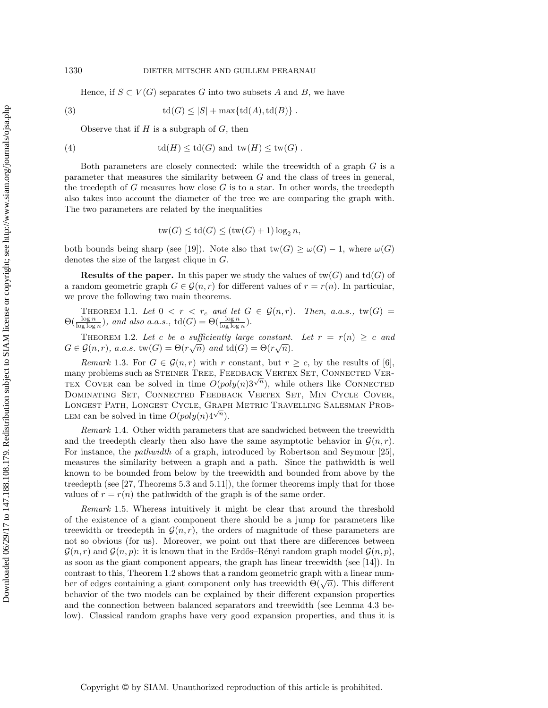<span id="page-3-2"></span>Hence, if  $S \subset V(G)$  separates G into two subsets A and B, we have

$$
(3) \qquad \qquad \text{td}(G) \leq |S| + \max\{\text{td}(A), \text{td}(B)\} \ .
$$

Observe that if  $H$  is a subgraph of  $G$ , then

(4) 
$$
\operatorname{td}(H) \leq \operatorname{td}(G) \text{ and } \operatorname{tw}(H) \leq \operatorname{tw}(G) .
$$

Both parameters are closely connected: while the treewidth of a graph  $G$  is a parameter that measures the similarity between  $G$  and the class of trees in general, the treedepth of  $G$  measures how close  $G$  is to a star. In other words, the treedepth also takes into account the diameter of the tree we are comparing the graph with. The two parameters are related by the inequalities

$$
tw(G) \le td(G) \le (tw(G) + 1) \log_2 n,
$$

both bounds being sharp (see [\[19\]](#page-27-8)). Note also that  $\text{tw}(G) \ge \omega(G) - 1$ , where  $\omega(G)$ denotes the size of the largest clique in G.

**Results of the paper.** In this paper we study the values of  $\text{tw}(G)$  and  $\text{td}(G)$  of a random geometric graph  $G \in \mathcal{G}(n,r)$  for different values of  $r = r(n)$ . In particular, we prove the following two main theorems.

<span id="page-3-1"></span>THEOREM 1.1. Let  $0 < r < r_c$  and let  $G \in \mathcal{G}(n,r)$ . Then, a.a.s., tw $(G)$  $\Theta(\frac{\log n}{\log \log n}),$  and also a.a.s.,  $\mathrm{td}(G) = \Theta(\frac{\log n}{\log \log n}).$ 

<span id="page-3-0"></span>THEOREM 1.2. Let c be a sufficiently large constant. Let  $r = r(n) \geq c$  and  $G \in \mathcal{G}(n,r)$ , a.a.s.  $\text{tw}(G) = \Theta(r\sqrt{n})$  and  $\text{td}(G) = \Theta(r\sqrt{n})$ .

Remark 1.3. For  $G \in \mathcal{G}(n,r)$  with r constant, but  $r \geq c$ , by the results of [\[6\]](#page-27-13), many problems such as STEINER TREE, FEEDBACK VERTEX SET, CONNECTED VER-TEX COVER can be solved in time  $O(poly(n)3^{\sqrt{n}})$ , while others like CONNECTED Dominating Set, Connected Feedback Vertex Set, Min Cycle Cover, LONGEST PATH, LONGEST CYCLE, GRAPH METRIC TRAVELLING SALESMAN PROB-LEM can be solved in time  $O(poly(n)4^{\sqrt{n}})$ .

Remark 1.4. Other width parameters that are sandwiched between the treewidth and the treedepth clearly then also have the same asymptotic behavior in  $\mathcal{G}(n,r)$ . For instance, the pathwidth of a graph, introduced by Robertson and Seymour [\[25\]](#page-27-14), measures the similarity between a graph and a path. Since the pathwidth is well known to be bounded from below by the treewidth and bounded from above by the treedepth (see [\[27,](#page-27-15) Theorems 5.3 and 5.11]), the former theorems imply that for those values of  $r = r(n)$  the pathwidth of the graph is of the same order.

Remark 1.5. Whereas intuitively it might be clear that around the threshold of the existence of a giant component there should be a jump for parameters like treewidth or treedepth in  $\mathcal{G}(n,r)$ , the orders of magnitude of these parameters are not so obvious (for us). Moreover, we point out that there are differences between  $\mathcal{G}(n,r)$  and  $\mathcal{G}(n,p)$ : it is known that in the Erdős–Rényi random graph model  $\mathcal{G}(n,p)$ , as soon as the giant component appears, the graph has linear treewidth (see [\[14\]](#page-27-16)). In contrast to this, Theorem [1.2](#page-3-0) shows that a random geometric graph with a linear number of edges containing a giant component only has treewidth  $\Theta(\sqrt{n})$ . This different behavior of the two models can be explained by their different expansion properties and the connection between balanced separators and treewidth (see Lemma [4.3](#page-18-0) below). Classical random graphs have very good expansion properties, and thus it is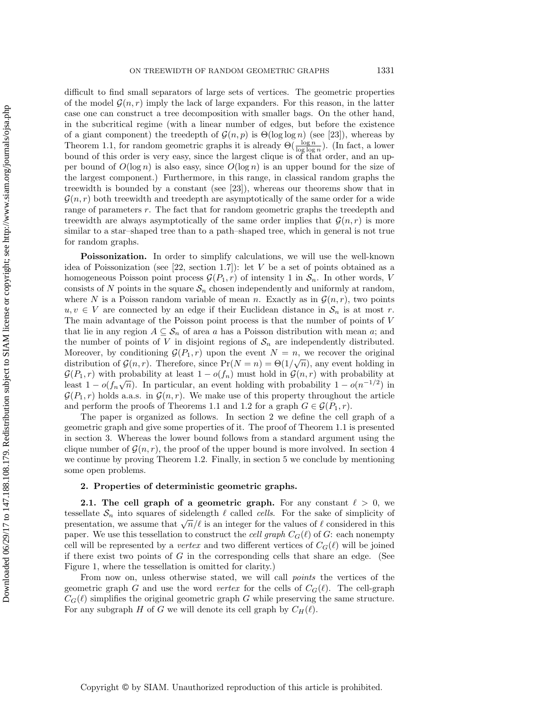difficult to find small separators of large sets of vertices. The geometric properties of the model  $\mathcal{G}(n,r)$  imply the lack of large expanders. For this reason, in the latter case one can construct a tree decomposition with smaller bags. On the other hand, in the subcritical regime (with a linear number of edges, but before the existence of a giant component) the treedepth of  $\mathcal{G}(n, p)$  is  $\Theta(\log \log n)$  (see [\[23\]](#page-27-17)), whereas by Theorem [1.1,](#page-3-1) for random geometric graphs it is already  $\Theta(\frac{\log n}{\log \log n})$ . (In fact, a lower bound of this order is very easy, since the largest clique is of that order, and an upper bound of  $O(\log n)$  is also easy, since  $O(\log n)$  is an upper bound for the size of the largest component.) Furthermore, in this range, in classical random graphs the treewidth is bounded by a constant (see [\[23\]](#page-27-17)), whereas our theorems show that in  $\mathcal{G}(n,r)$  both treewidth and treedepth are asymptotically of the same order for a wide range of parameters r. The fact that for random geometric graphs the treedepth and treewidth are always asymptotically of the same order implies that  $\mathcal{G}(n,r)$  is more similar to a star–shaped tree than to a path–shaped tree, which in general is not true for random graphs.

**Poissonization.** In order to simplify calculations, we will use the well-known idea of Poissonization (see  $[22, \text{ section } 1.7]$  $[22, \text{ section } 1.7]$ ): let V be a set of points obtained as a homogeneous Poisson point process  $\mathcal{G}(P_1,r)$  of intensity 1 in  $\mathcal{S}_n$ . In other words, V consists of N points in the square  $S_n$  chosen independently and uniformly at random, where N is a Poisson random variable of mean n. Exactly as in  $\mathcal{G}(n,r)$ , two points  $u, v \in V$  are connected by an edge if their Euclidean distance in  $S_n$  is at most r. The main advantage of the Poisson point process is that the number of points of V that lie in any region  $A \subseteq S_n$  of area a has a Poisson distribution with mean a; and the number of points of V in disjoint regions of  $S_n$  are independently distributed. Moreover, by conditioning  $\mathcal{G}(P_1, r)$  upon the event  $N = n$ , we recover the original distribution of  $\mathcal{G}(n,r)$ . Therefore, since  $Pr(N = n) = \Theta(1/\sqrt{n})$ , any event holding in  $\mathcal{G}(P_1,r)$  with probability at least  $1 - o(f_n)$  must hold in  $\mathcal{G}(n,r)$  with probability at least  $1 - o(f_n\sqrt{n})$ . In particular, an event holding with probability  $1 - o(n^{-1/2})$  in  $\mathcal{G}(P_1,r)$  holds a.a.s. in  $\mathcal{G}(n,r)$ . We make use of this property throughout the article and perform the proofs of Theorems [1.1](#page-3-1) and [1.2](#page-3-0) for a graph  $G \in \mathcal{G}(P_1,r)$ .

The paper is organized as follows. In section [2](#page-4-0) we define the cell graph of a geometric graph and give some properties of it. The proof of Theorem [1.1](#page-3-1) is presented in section [3.](#page-12-0) Whereas the lower bound follows from a standard argument using the clique number of  $\mathcal{G}(n,r)$ , the proof of the upper bound is more involved. In section [4](#page-16-0) we continue by proving Theorem [1.2.](#page-3-0) Finally, in section [5](#page-26-0) we conclude by mentioning some open problems.

#### <span id="page-4-0"></span>2. Properties of deterministic geometric graphs.

**2.1.** The cell graph of a geometric graph. For any constant  $\ell > 0$ , we tessellate  $\mathcal{S}_n$  into squares of sidelength  $\ell$  called cells. For the sake of simplicity of bessenate  $\mathcal{O}_n$  into squares or sidelength  $\ell$  cannot celles. For the sake of simplicity of presentation, we assume that  $\sqrt{n}/\ell$  is an integer for the values of  $\ell$  considered in this paper. We use this tessellation to construct the *cell graph*  $C_G(\ell)$  of G: each nonempty cell will be represented by a *vertex* and two different vertices of  $C_G(\ell)$  will be joined if there exist two points of  $G$  in the corresponding cells that share an edge. (See Figure [1,](#page-5-0) where the tessellation is omitted for clarity.)

<span id="page-4-1"></span>From now on, unless otherwise stated, we will call *points* the vertices of the geometric graph G and use the word vertex for the cells of  $C_G(\ell)$ . The cell-graph  $C_G(\ell)$  simplifies the original geometric graph G while preserving the same structure. For any subgraph H of G we will denote its cell graph by  $C_H(\ell)$ .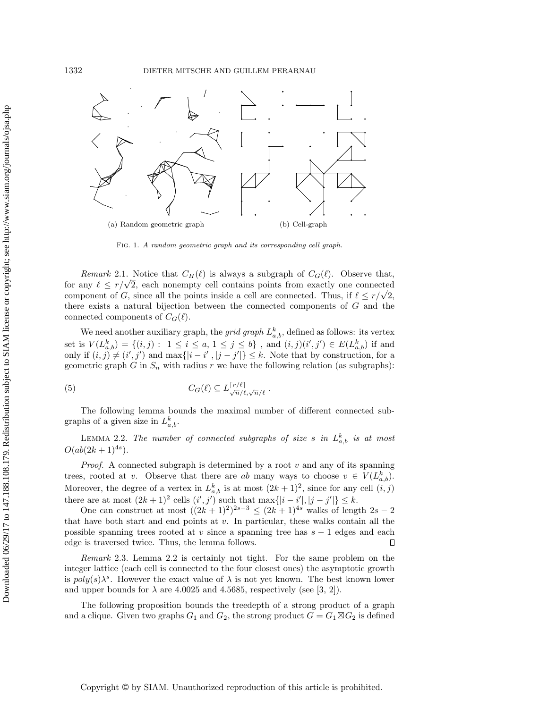<span id="page-5-0"></span>

Fig. 1. A random geometric graph and its corresponding cell graph.

Remark 2.1. Notice that  $C_H(\ell)$  is always a subgraph of  $C_G(\ell)$ . Observe that, *for any*  $\ell \leq r/\sqrt{2}$ *, each nonempty cell contains points from exactly one connected* for any  $\ell \leq r/\sqrt{2}$ , each nonempty cell contains points from exactly one connected component of G, since all the points inside a cell are connected. Thus, if  $\ell \leq r/\sqrt{2}$ , there exists a natural bijection between the connected components of G and the connected components of  $C_G(\ell)$ .

We need another auxiliary graph, the *grid graph*  $L_{a,b}^k$ , defined as follows: its vertex set is  $V(L_{a,b}^k) = \{(i,j) : 1 \le i \le a, 1 \le j \le b\}$ , and  $(i,j)(i',j') \in E(L_{a,b}^k)$  if and only if  $(i, j) \neq (i', j')$  and  $\max\{|i - i'|, |j - j'|\} \leq k$ . Note that by construction, for a geometric graph G in  $S_n$  with radius r we have the following relation (as subgraphs):

<span id="page-5-2"></span>(5) 
$$
C_G(\ell) \subseteq L_{\sqrt{n}/\ell,\sqrt{n}/\ell}^{\lceil r/\ell \rceil}.
$$

The following lemma bounds the maximal number of different connected subgraphs of a given size in  $L_{a,b}^k$ .

<span id="page-5-1"></span>LEMMA 2.2. The number of connected subgraphs of size s in  $L_{a,b}^k$  is at most  $O(ab(2k+1)^{4s}).$ 

*Proof.* A connected subgraph is determined by a root  $v$  and any of its spanning trees, rooted at v. Observe that there are ab many ways to choose  $v \in V(L_{a,b}^k)$ . Moreover, the degree of a vertex in  $L_{a,b}^k$  is at most  $(2k+1)^2$ , since for any cell  $(i, j)$ there are at most  $(2k+1)^2$  cells  $(i', j')$  such that  $\max\{|i - i'|, |j - j'|\} \leq k$ .

One can construct at most  $((2k+1)^2)^{2s-3} \leq (2k+1)^{4s}$  walks of length  $2s-2$ that have both start and end points at v. In particular, these walks contain all the possible spanning trees rooted at v since a spanning tree has  $s - 1$  edges and each edge is traversed twice. Thus, the lemma follows.  $\Box$ 

Remark 2.3. Lemma [2.2](#page-5-1) is certainly not tight. For the same problem on the integer lattice (each cell is connected to the four closest ones) the asymptotic growth is  $poly(s)\lambda^s$ . However the exact value of  $\lambda$  is not yet known. The best known lower and upper bounds for  $\lambda$  are 4.0025 and 4.5685, respectively (see [\[3,](#page-27-18) [2\]](#page-27-19)).

The following proposition bounds the treedepth of a strong product of a graph and a clique. Given two graphs  $G_1$  and  $G_2$ , the strong product  $G = G_1 \boxtimes G_2$  is defined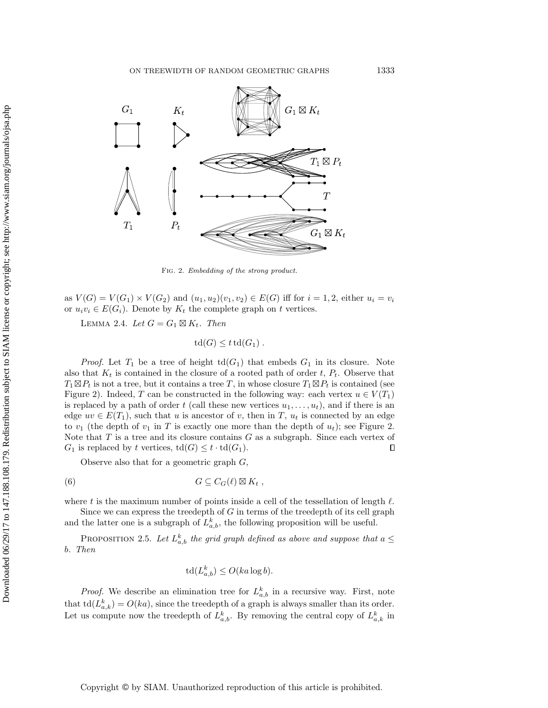<span id="page-6-0"></span>

Fig. 2. Embedding of the strong product.

as  $V(G) = V(G_1) \times V(G_2)$  and  $(u_1, u_2)(v_1, v_2) \in E(G)$  iff for  $i = 1, 2$ , either  $u_i = v_i$ or  $u_i v_i \in E(G_i)$ . Denote by  $K_t$  the complete graph on t vertices.

<span id="page-6-2"></span>LEMMA 2.4. Let  $G = G_1 \boxtimes K_t$ . Then

$$
\operatorname{td}(G) \leq t \operatorname{td}(G_1) \ .
$$

*Proof.* Let  $T_1$  be a tree of height  $td(G_1)$  that embeds  $G_1$  in its closure. Note also that  $K_t$  is contained in the closure of a rooted path of order t,  $P_t$ . Observe that  $T_1 \boxtimes P_t$  is not a tree, but it contains a tree T, in whose closure  $T_1 \boxtimes P_t$  is contained (see Figure [2\)](#page-6-0). Indeed, T can be constructed in the following way: each vertex  $u \in V(T_1)$ is replaced by a path of order t (call these new vertices  $u_1, \ldots, u_t$ ), and if there is an edge  $uv \in E(T_1)$ , such that u is ancestor of v, then in T,  $u_t$  is connected by an edge to  $v_1$  (the depth of  $v_1$  in T is exactly one more than the depth of  $u_t$ ); see Figure [2.](#page-6-0) Note that  $T$  is a tree and its closure contains  $G$  as a subgraph. Since each vertex of  $G_1$  is replaced by t vertices,  $\mathrm{td}(G) \leq t \cdot \mathrm{td}(G_1)$ .  $\Box$ 

Observe also that for a geometric graph  $G$ ,

(6) 
$$
G \subseteq C_G(\ell) \boxtimes K_t ,
$$

where t is the maximum number of points inside a cell of the tessellation of length  $\ell$ .

Since we can express the treedepth of  $G$  in terms of the treedepth of its cell graph and the latter one is a subgraph of  $L_{a,b}^k$ , the following proposition will be useful.

<span id="page-6-1"></span>PROPOSITION 2.5. Let  $L_{a,b}^k$  the grid graph defined as above and suppose that  $a \leq$ b. Then

$$
\operatorname{td}(L_{a,b}^k) \le O(ka \log b).
$$

*Proof.* We describe an elimination tree for  $L_{a,b}^k$  in a recursive way. First, note that  $\text{td}(L_{a,k}^k) = O(ka)$ , since the treedepth of a graph is always smaller than its order. Let us compute now the treedepth of  $L_{a,b}^k$ . By removing the central copy of  $L_{a,k}^k$  in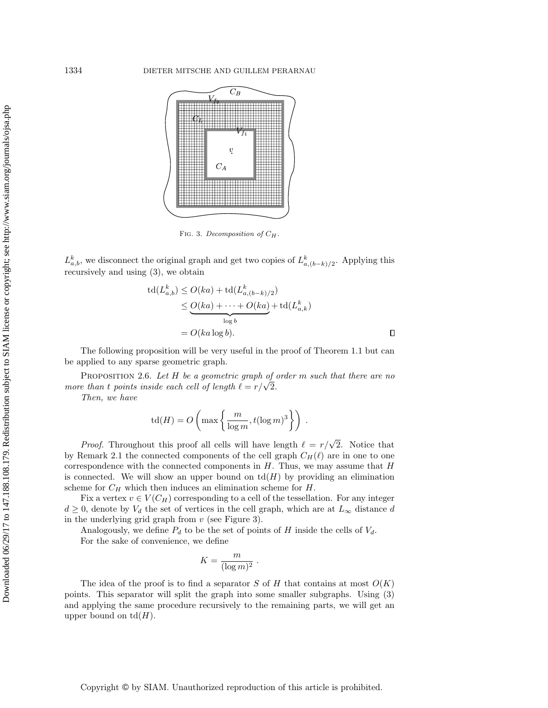<span id="page-7-0"></span>

FIG. 3. Decomposition of  $C_H$ .

 $L_{a,b}^k$ , we disconnect the original graph and get two copies of  $L_{a,(b-k)/2}^k$ . Applying this recursively and using [\(3\)](#page-3-2), we obtain

$$
\operatorname{td}(L_{a,b}^k) \le O(ka) + \operatorname{td}(L_{a,(b-k)/2}^k)
$$
  
\n
$$
\le \underbrace{O(ka) + \dots + O(ka)}_{\log b} + \operatorname{td}(L_{a,k}^k)
$$
  
\n
$$
= O(ka \log b).
$$

The following proposition will be very useful in the proof of Theorem [1.1](#page-3-1) but can be applied to any sparse geometric graph.

<span id="page-7-1"></span>PROPOSITION 2.6. Let  $H$  be a geometric graph of order m such that there are no **PROPOSITION 2.0.** Let  $H$  be a geometric graph of a more than t points inside each cell of length  $\ell = r/\sqrt{2}$ .

Then, we have

$$
\operatorname{td}(H) = O\left(\max\left\{\frac{m}{\log m}, t(\log m)^3\right\}\right) \ .
$$

*Proof.* Throughout this proof all cells will have length  $\ell = r/\sqrt{2}$ . Notice that by Remark [2.1](#page-4-1) the connected components of the cell graph  $C_H(\ell)$  are in one to one correspondence with the connected components in  $H$ . Thus, we may assume that  $H$ is connected. We will show an upper bound on  $\mathrm{td}(H)$  by providing an elimination scheme for  $C_H$  which then induces an elimination scheme for  $H$ .

Fix a vertex  $v \in V(C_H)$  corresponding to a cell of the tessellation. For any integer  $d \geq 0$ , denote by  $V_d$  the set of vertices in the cell graph, which are at  $L_{\infty}$  distance d in the underlying grid graph from  $v$  (see Figure [3\)](#page-7-0).

Analogously, we define  $P_d$  to be the set of points of H inside the cells of  $V_d$ . For the sake of convenience, we define

$$
K = \frac{m}{(\log m)^2} \; .
$$

The idea of the proof is to find a separator S of H that contains at most  $O(K)$ points. This separator will split the graph into some smaller subgraphs. Using [\(3\)](#page-3-2) and applying the same procedure recursively to the remaining parts, we will get an upper bound on  $td(H)$ .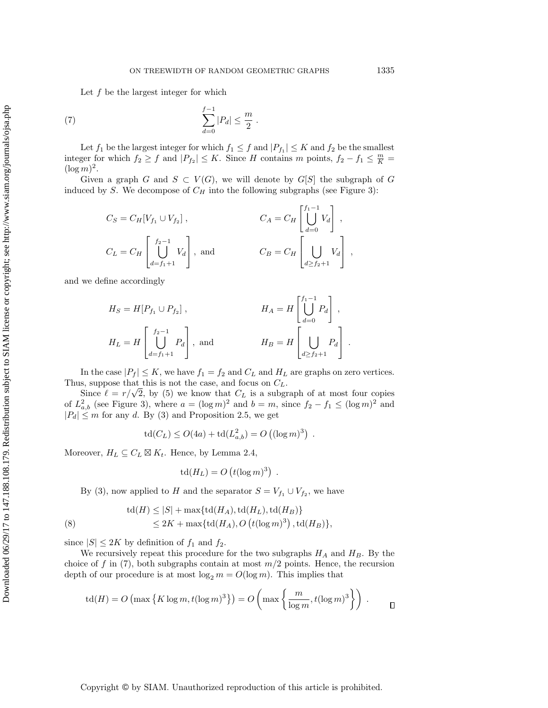<span id="page-8-0"></span>Let  $f$  be the largest integer for which

(7) 
$$
\sum_{d=0}^{f-1} |P_d| \leq \frac{m}{2} .
$$

Let  $f_1$  be the largest integer for which  $f_1 \leq f$  and  $|P_{f_1}| \leq K$  and  $f_2$  be the smallest integer for which  $f_2 \ge f$  and  $|P_{f_2}| \le K$ . Since H contains m points,  $f_2 - f_1 \le \frac{m}{K} =$  $(\log m)^2$ .

Given a graph G and  $S \subset V(G)$ , we will denote by  $G[S]$  the subgraph of G induced by S. We decompose of  $C_H$  into the following subgraphs (see Figure [3\)](#page-7-0):

$$
C_S = C_H[V_{f_1} \cup V_{f_2}],
$$
  
\n
$$
C_A = C_H\begin{bmatrix} f_1 - 1 \\ \bigcup_{d=0}^{f_1-1} V_d \end{bmatrix},
$$
  
\n
$$
C_B = C_H\begin{bmatrix} f_2 - 1 \\ \bigcup_{d=0}^{f_2-1} V_d \end{bmatrix},
$$
  
\n
$$
C_B = C_H\begin{bmatrix} V_1 - 1 \\ \bigcup_{d \ge f_2+1} V_d \end{bmatrix},
$$

and we define accordingly

$$
H_S = H[P_{f_1} \cup P_{f_2}],
$$
  
\n
$$
H_A = H\begin{bmatrix} f_1^{-1} \\ \bigcup_{d=0}^{f_1-1} P_d \end{bmatrix},
$$
  
\n
$$
H_L = H\begin{bmatrix} f_2^{-1} \\ \bigcup_{d=f_1+1}^{f_2-1} P_d \end{bmatrix},
$$
 and 
$$
H_B = H\begin{bmatrix} f_1 \\ \bigcup_{d \ge f_2+1} P_d \end{bmatrix}.
$$

In the case  $|P_f| \leq K$ , we have  $f_1 = f_2$  and  $C_L$  and  $H_L$  are graphs on zero vertices. Thus, suppose that this is not the case, and focus on  $C_L$ .

s, suppose that this is not the case, and focus on  $C_L$ .<br>Since  $\ell = r/\sqrt{2}$ , by [\(5\)](#page-5-2) we know that  $C_L$  is a subgraph of at most four copies of  $L^2_{a,b}$  (see Figure [3\)](#page-7-0), where  $a = (\log m)^2$  and  $b = m$ , since  $f_2 - f_1 \leq (\log m)^2$  and  $|P_d| \leq m$  for any d. By [\(3\)](#page-3-2) and Proposition [2.5,](#page-6-1) we get

$$
td(C_L) \le O(4a) + td(L_{a,b}^2) = O((\log m)^3) .
$$

Moreover,  $H_L \subseteq C_L \boxtimes K_t$ . Hence, by Lemma [2.4,](#page-6-2)

$$
td(H_L) = O(t(\log m)^3).
$$

By [\(3\)](#page-3-2), now applied to H and the separator  $S = V_{f_1} \cup V_{f_2}$ , we have

(8) 
$$
td(H) \le |S| + \max\{td(H_A),td(H_L),td(H_B)\}
$$

$$
\le 2K + \max\{td(H_A),O(t(\log m)^3),td(H_B)\},
$$

since  $|S| \leq 2K$  by definition of  $f_1$  and  $f_2$ .

We recursively repeat this procedure for the two subgraphs  $H_A$  and  $H_B$ . By the choice of f in  $(7)$ , both subgraphs contain at most  $m/2$  points. Hence, the recursion depth of our procedure is at most  $\log_2 m = O(\log m)$ . This implies that

$$
\operatorname{td}(H) = O\left(\max\left\{K \log m, t(\log m)^3\right\}\right) = O\left(\max\left\{\frac{m}{\log m}, t(\log m)^3\right\}\right) . \qquad \Box
$$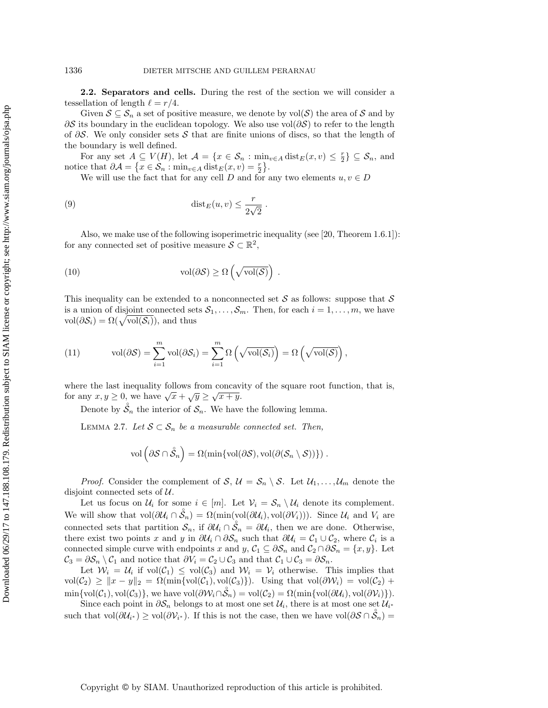2.2. Separators and cells. During the rest of the section we will consider a tessellation of length  $\ell = r/4$ .

Given  $S \subseteq S_n$  a set of positive measure, we denote by  $\text{vol}(S)$  the area of S and by ∂S its boundary in the euclidean topology. We also use vol $(\partial S)$  to refer to the length of  $\partial S$ . We only consider sets S that are finite unions of discs, so that the length of the boundary is well defined.

For any set  $A \subseteq V(H)$ , let  $A = \{x \in \mathcal{S}_n : \min_{v \in A} \text{dist}_E(x, v) \leq \frac{r}{2} \} \subseteq \mathcal{S}_n$ , and notice that  $\partial \mathcal{A} = \{x \in \mathcal{S}_n : \min_{v \in A} \operatorname{dist}_E(x, v) = \frac{r}{2}\}.$ 

<span id="page-9-2"></span>We will use the fact that for any cell D and for any two elements  $u, v \in D$ 

(9) 
$$
\operatorname{dist}_E(u,v) \leq \frac{r}{2\sqrt{2}}.
$$

Also, we make use of the following isoperimetric inequality (see [\[20,](#page-27-20) Theorem 1.6.1]): for any connected set of positive measure  $S \subset \mathbb{R}^2$ ,

<span id="page-9-1"></span>(10) 
$$
\text{vol}(\partial S) \geq \Omega\left(\sqrt{\text{vol}(S)}\right) .
$$

This inequality can be extended to a nonconnected set  $S$  as follows: suppose that  $S$ is a union of disjoint connected sets  $S_1, \ldots, S_m$ . Then, for each  $i = 1, \ldots, m$ , we have  $vol(\partial \mathcal{S}_i) = \Omega(\sqrt{vol(\mathcal{S}_i)})$ , and thus

<span id="page-9-3"></span>(11) 
$$
\text{vol}(\partial \mathcal{S}) = \sum_{i=1}^{m} \text{vol}(\partial \mathcal{S}_i) = \sum_{i=1}^{m} \Omega\left(\sqrt{\text{vol}(\mathcal{S}_i)}\right) = \Omega\left(\sqrt{\text{vol}(\mathcal{S})}\right),
$$

where the last inequality follows from concavity of the square root function, that is, where the last mequality follows from concave<br>for any  $x, y \ge 0$ , we have  $\sqrt{x} + \sqrt{y} \ge \sqrt{x+y}$ .

Denote by  $\mathring{S}_n$  the interior of  $\mathcal{S}_n$ . We have the following lemma.

<span id="page-9-0"></span>LEMMA 2.7. Let  $S \subset S_n$  be a measurable connected set. Then,

$$
\text{vol}\left(\partial\mathcal{S}\cap\mathring{\mathcal{S}}_n\right)=\Omega(\min\{\text{vol}(\partial\mathcal{S}),\text{vol}(\partial(\mathcal{S}_n\setminus\mathcal{S}))\})\ .
$$

*Proof.* Consider the complement of S,  $\mathcal{U} = \mathcal{S}_n \setminus \mathcal{S}$ . Let  $\mathcal{U}_1, \ldots, \mathcal{U}_m$  denote the disjoint connected sets of  $U$ .

Let us focus on  $\mathcal{U}_i$  for some  $i \in [m]$ . Let  $\mathcal{V}_i = \mathcal{S}_n \setminus \mathcal{U}_i$  denote its complement. We will show that  $vol(\partial \mathcal{U}_i \cap \mathcal{S}_n) = \Omega(\min(\text{vol}(\partial \mathcal{U}_i), \text{vol}(\partial V_i)))$ . Since  $\mathcal{U}_i$  and  $V_i$  are connected sets that partition  $\mathcal{S}_n$ , if  $\partial \mathcal{U}_i \cap \mathcal{S}_n = \partial \mathcal{U}_i$ , then we are done. Otherwise, there exist two points x and y in  $\partial \mathcal{U}_i \cap \partial \mathcal{S}_n$  such that  $\partial \mathcal{U}_i = \mathcal{C}_1 \cup \mathcal{C}_2$ , where  $\mathcal{C}_i$  is a connected simple curve with endpoints x and y,  $C_1 \subseteq \partial S_n$  and  $C_2 \cap \partial S_n = \{x, y\}$ . Let  $C_3 = \partial S_n \setminus C_1$  and notice that  $\partial V_i = C_2 \cup C_3$  and that  $C_1 \cup C_3 = \partial S_n$ .

Let  $W_i = U_i$  if  $vol(C_1) \le vol(C_3)$  and  $W_i = V_i$  otherwise. This implies that  $vol(\mathcal{C}_2) \geq ||x - y||_2 = \Omega(\min\{vol(\mathcal{C}_1), vol(\mathcal{C}_3)\})$ . Using that  $vol(\partial \mathcal{W}_i) = vol(\mathcal{C}_2) +$  $\min\{\text{vol}(\mathcal{C}_1),\text{vol}(\mathcal{C}_3)\},\$  we have  $\text{vol}(\partial \mathcal{W}_i \cap \mathring{\mathcal{S}}_n) = \text{vol}(\mathcal{C}_2) = \Omega(\min\{\text{vol}(\partial \mathcal{U}_i),\text{vol}(\partial \mathcal{V}_i)\}).$ 

Since each point in  $\partial \mathcal{S}_n$  belongs to at most one set  $\mathcal{U}_i$ , there is at most one set  $\mathcal{U}_{i^*}$ such that  $vol(\partial \mathcal{U}_{i^*}) \geq vol(\partial \mathcal{V}_{i^*})$ . If this is not the case, then we have  $vol(\partial \mathcal{S} \cap \mathcal{S}_n) =$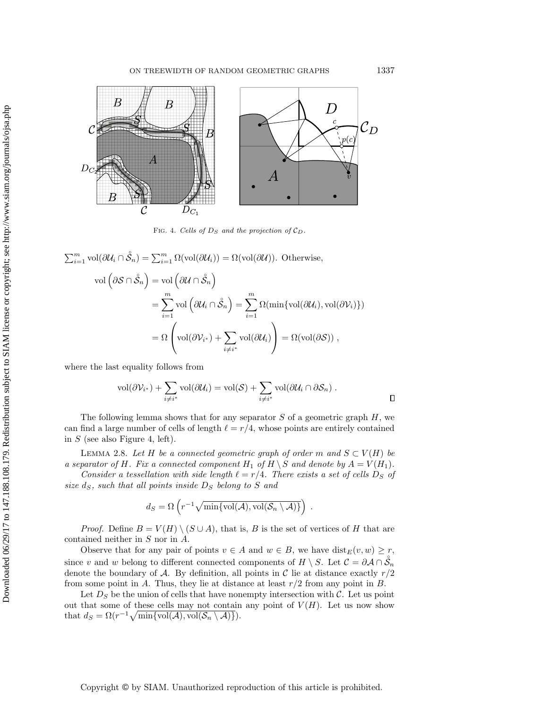<span id="page-10-0"></span>

FIG. 4. Cells of  $D_S$  and the projection of  $\mathcal{C}_D$ .

$$
\sum_{i=1}^{m} \text{vol}(\partial \mathcal{U}_i \cap \mathring{S}_n) = \sum_{i=1}^{m} \Omega(\text{vol}(\partial \mathcal{U}_i)) = \Omega(\text{vol}(\partial \mathcal{U})). \text{ Otherwise,}
$$
  

$$
\text{vol}(\partial S \cap \mathring{S}_n) = \text{vol}(\partial \mathcal{U} \cap \mathring{S}_n)
$$

$$
= \sum_{i=1}^{m} \text{vol}(\partial \mathcal{U}_i \cap \mathring{S}_n) = \sum_{i=1}^{m} \Omega(\min\{\text{vol}(\partial \mathcal{U}_i), \text{vol}(\partial \mathcal{V}_i)\})
$$

$$
= \Omega(\text{vol}(\partial \mathcal{V}_{i^*}) + \sum_{i \neq i^*} \text{vol}(\partial \mathcal{U}_i)) = \Omega(\text{vol}(\partial S)),
$$

where the last equality follows from

 $\bigcap m$ 

$$
\text{vol}(\partial \mathcal{V}_{i^*}) + \sum_{i \neq i^*} \text{vol}(\partial \mathcal{U}_i) = \text{vol}(\mathcal{S}) + \sum_{i \neq i^*} \text{vol}(\partial \mathcal{U}_i \cap \partial \mathcal{S}_n) .
$$

The following lemma shows that for any separator  $S$  of a geometric graph  $H$ , we can find a large number of cells of length  $\ell = r/4$ , whose points are entirely contained in  $S$  (see also Figure [4,](#page-10-0) left).

<span id="page-10-1"></span>LEMMA 2.8. Let H be a connected geometric graph of order m and  $S \subset V(H)$  be a separator of H. Fix a connected component  $H_1$  of  $H \setminus S$  and denote by  $A = V(H_1)$ .

Consider a tessellation with side length  $\ell = r/4$ . There exists a set of cells  $D_S$  of size  $d_S$ , such that all points inside  $D_S$  belong to S and

$$
d_S = \Omega\left(r^{-1}\sqrt{\min\{\text{vol}(\mathcal{A}),\text{vol}(\mathcal{S}_n\setminus\mathcal{A})\}}\right).
$$

*Proof.* Define  $B = V(H) \setminus (S \cup A)$ , that is, B is the set of vertices of H that are contained neither in S nor in A.

Observe that for any pair of points  $v \in A$  and  $w \in B$ , we have  $dist_E(v, w) \geq r$ , since v and w belong to different connected components of  $H \setminus S$ . Let  $\mathcal{C} = \partial \mathcal{A} \cap \mathring{S}_n$ denote the boundary of A. By definition, all points in C lie at distance exactly  $r/2$ from some point in A. Thus, they lie at distance at least  $r/2$  from any point in B.

Let  $D<sub>S</sub>$  be the union of cells that have nonempty intersection with C. Let us point out that some of these cells may not contain any point of  $V(H)$ . Let us now show that  $d_S = \Omega(r^{-1}\sqrt{\min\{\text{vol}(\mathcal{A}), \text{vol}(\mathcal{S}_n \setminus \mathcal{A})\}}).$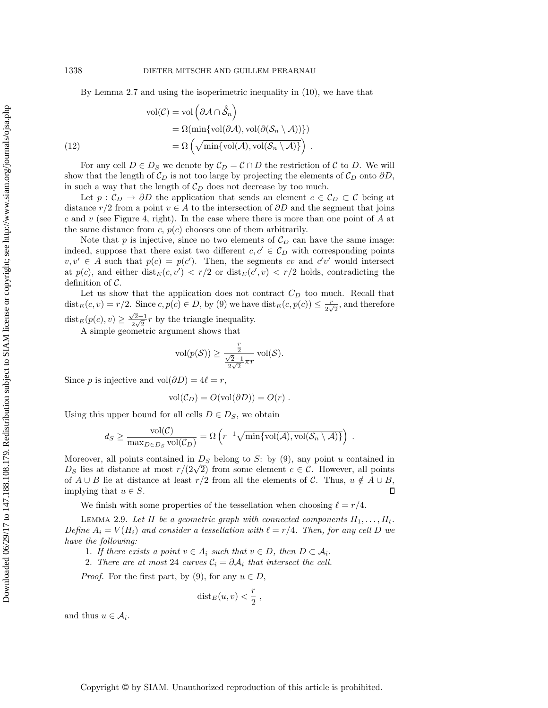By Lemma [2.7](#page-9-0) and using the isoperimetric inequality in [\(10\)](#page-9-1), we have that

(12)  
\n
$$
\text{vol}(\mathcal{C}) = \text{vol}\left(\partial \mathcal{A} \cap \mathring{S}_n\right)
$$
\n
$$
= \Omega(\min\{\text{vol}(\partial \mathcal{A}), \text{vol}(\partial(\mathcal{S}_n \setminus \mathcal{A}))\})
$$
\n
$$
= \Omega\left(\sqrt{\min\{\text{vol}(\mathcal{A}), \text{vol}(\mathcal{S}_n \setminus \mathcal{A})\}}\right).
$$

For any cell  $D \in D_S$  we denote by  $C_D = C \cap D$  the restriction of C to D. We will show that the length of  $\mathcal{C}_D$  is not too large by projecting the elements of  $\mathcal{C}_D$  onto  $\partial D$ , in such a way that the length of  $C_D$  does not decrease by too much.

Let  $p: \mathcal{C}_D \to \partial D$  the application that sends an element  $c \in \mathcal{C}_D \subset \mathcal{C}$  being at distance r/2 from a point  $v \in A$  to the intersection of  $\partial D$  and the segment that joins c and v (see Figure [4,](#page-10-0) right). In the case where there is more than one point of  $A$  at the same distance from  $c, p(c)$  chooses one of them arbitrarily.

Note that p is injective, since no two elements of  $\mathcal{C}_D$  can have the same image: indeed, suppose that there exist two different  $c, c' \in \mathcal{C}_D$  with corresponding points  $v, v' \in A$  such that  $p(c) = p(c')$ . Then, the segments cv and  $c'v'$  would intersect at  $p(c)$ , and either  $dist_E(c, v') < r/2$  or  $dist_E(c', v) < r/2$  holds, contradicting the definition of  $\mathcal{C}$ .

Let us show that the application does not contract  $C_D$  too much. Recall that  $dist_E(c, v) = r/2$ . Since  $c, p(c) \in D$ , by [\(9\)](#page-9-2) we have  $dist_E(c, p(c)) \leq \frac{r}{2\sqrt{2}}$  $\frac{r}{2\sqrt{2}},$  and therefore dist $E(p(c), v) \geq \frac{\sqrt{2}-1}{2\sqrt{2}}$  $\frac{22-1}{2\sqrt{2}}r$  by the triangle inequality.

A simple geometric argument shows that

$$
\text{vol}(p(\mathcal{S})) \ge \frac{\frac{r}{2}}{\frac{\sqrt{2}-1}{2\sqrt{2}}\pi r} \text{vol}(\mathcal{S}).
$$

Since p is injective and vol $(\partial D) = 4\ell = r$ ,

$$
vol(C_D) = O(vol(\partial D)) = O(r) .
$$

Using this upper bound for all cells  $D \in D_S$ , we obtain

$$
d_S \ge \frac{\text{vol}(\mathcal{C})}{\max_{D \in D_S} \text{vol}(\mathcal{C}_D)} = \Omega\left(r^{-1} \sqrt{\min\{\text{vol}(\mathcal{A}), \text{vol}(\mathcal{S}_n \setminus \mathcal{A})\}}\right) .
$$

Moreover, all points contained in  $D<sub>S</sub>$  belong to S: by [\(9\)](#page-9-2), any point u contained in Moreover, all points contained in  $D_S$  belong to  $S$ : by (9), any point u contained in  $D_S$  lies at distance at most  $r/(2\sqrt{2})$  from some element  $c \in C$ . However, all points of  $A \cup B$  lie at distance at least  $r/2$  from all the elements of C. Thus,  $u \notin A \cup B$ ,  $\Box$ implying that  $u \in S$ .

We finish with some properties of the tessellation when choosing  $\ell = r/4$ .

<span id="page-11-0"></span>LEMMA 2.9. Let H be a geometric graph with connected components  $H_1, \ldots, H_t$ . Define  $A_i = V(H_i)$  and consider a tessellation with  $\ell = r/4$ . Then, for any cell D we have the following:

- 1. If there exists a point  $v \in A_i$  such that  $v \in D$ , then  $D \subset A_i$ .
- 2. There are at most 24 curves  $C_i = \partial A_i$  that intersect the cell.

*Proof.* For the first part, by [\(9\)](#page-9-2), for any  $u \in D$ ,

$$
dist_E(u, v) < \frac{r}{2},
$$

and thus  $u \in \mathcal{A}_i$ .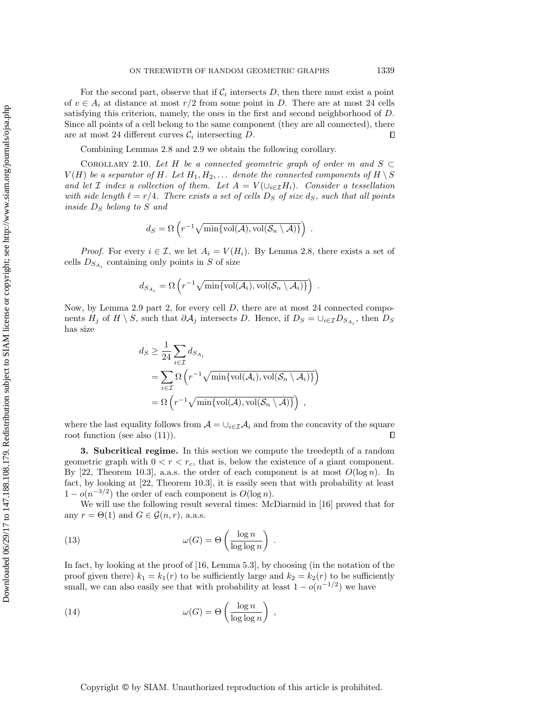For the second part, observe that if  $\mathcal{C}_i$  intersects D, then there must exist a point of  $v \in A_i$  at distance at most  $r/2$  from some point in D. There are at most 24 cells satisfying this criterion, namely, the ones in the first and second neighborhood of D. Since all points of a cell belong to the same component (they are all connected), there are at most 24 different curves  $\mathcal{C}_i$  intersecting  $D$ .  $\Box$ 

Combining Lemmas [2.8](#page-10-1) and [2.9](#page-11-0) we obtain the following corollary.

<span id="page-12-2"></span>COROLLARY 2.10. Let H be a connected geometric graph of order m and  $S \subset$  $V(H)$  be a separator of H. Let  $H_1, H_2, \ldots$  denote the connected components of  $H \setminus S$ and let *I* index a collection of them. Let  $A = V(\cup_{i \in I} H_i)$ . Consider a tessellation with side length  $\ell = r/4$ . There exists a set of cells  $D_S$  of size  $d_S$ , such that all points inside  $D<sub>S</sub>$  belong to S and

$$
d_S = \Omega\left(r^{-1}\sqrt{\min\{\text{vol}(\mathcal{A}),\text{vol}(\mathcal{S}_n\setminus\mathcal{A})\}}\right).
$$

*Proof.* For every  $i \in \mathcal{I}$ , we let  $A_i = V(H_i)$ . By Lemma [2.8,](#page-10-1) there exists a set of cells  $D_{S_{A_i}}$  containing only points in S of size

$$
d_{S_{A_i}} = \Omega\left(r^{-1}\sqrt{\min\{\text{vol}(\mathcal{A}_i),\text{vol}(\mathcal{S}_n\setminus\mathcal{A}_i)\}}\right)
$$

.

Now, by Lemma [2.9](#page-11-0) part 2, for every cell D, there are at most 24 connected components  $H_j$  of  $H \setminus S$ , such that  $\partial \mathcal{A}_j$  intersects D. Hence, if  $D_S = \cup_{i \in \mathcal{I}} D_{S_{A_i}}$ , then  $D_S$ has size

$$
d_S \ge \frac{1}{24} \sum_{i \in \mathcal{I}} d_{S_{A_i}}
$$
  
= 
$$
\sum_{i \in \mathcal{I}} \Omega \left( r^{-1} \sqrt{\min \{ \text{vol}(\mathcal{A}_i), \text{vol}(\mathcal{S}_n \setminus \mathcal{A}_i) \}} \right)
$$
  
= 
$$
\Omega \left( r^{-1} \sqrt{\min \{ \text{vol}(\mathcal{A}), \text{vol}(\mathcal{S}_n \setminus \mathcal{A}) \}} \right),
$$

where the last equality follows from  $A = \bigcup_{i \in \mathcal{I}} A_i$  and from the concavity of the square root function (see also [\(11\)](#page-9-3)).  $\Box$ 

<span id="page-12-0"></span>3. Subcritical regime. In this section we compute the treedepth of a random geometric graph with  $0 < r < r_c$ , that is, below the existence of a giant component. By [\[22,](#page-27-2) Theorem 10.3], a.a.s. the order of each component is at most  $O(\log n)$ . In fact, by looking at [\[22,](#page-27-2) Theorem 10.3], it is easily seen that with probability at least  $1 - o(n^{-3/2})$  the order of each component is  $O(\log n)$ .

We will use the following result several times: McDiarmid in [\[16\]](#page-27-21) proved that for any  $r = \Theta(1)$  and  $G \in \mathcal{G}(n,r)$ , a.a.s.

(13) 
$$
\omega(G) = \Theta\left(\frac{\log n}{\log \log n}\right).
$$

In fact, by looking at the proof of [\[16,](#page-27-21) Lemma 5.3], by choosing (in the notation of the proof given there)  $k_1 = k_1(r)$  to be sufficiently large and  $k_2 = k_2(r)$  to be sufficiently small, we can also easily see that with probability at least  $1 - o(n^{-1/2})$  we have

<span id="page-12-1"></span>(14) 
$$
\omega(G) = \Theta\left(\frac{\log n}{\log \log n}\right),
$$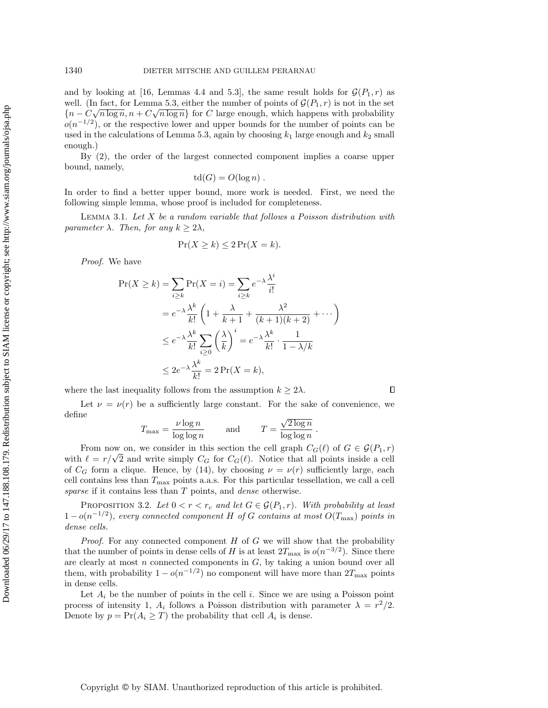and by looking at [\[16,](#page-27-21) Lemmas 4.4 and 5.3], the same result holds for  $\mathcal{G}(P_1,r)$  as well. (In fact, for Lemma 5.3, either the number of points of  $\mathcal{G}(P_1, r)$  is not in the set  ${n - C\sqrt{n \log n}, n + C\sqrt{n \log n}}$  for C large enough, which happens with probability  $o(n^{-1/2})$ , or the respective lower and upper bounds for the number of points can be used in the calculations of Lemma 5.3, again by choosing  $k_1$  large enough and  $k_2$  small enough.)

By [\(2\)](#page-2-0), the order of the largest connected component implies a coarse upper bound, namely,

$$
td(G) = O(\log n) .
$$

In order to find a better upper bound, more work is needed. First, we need the following simple lemma, whose proof is included for completeness.

<span id="page-13-0"></span>LEMMA 3.1. Let  $X$  be a random variable that follows a Poisson distribution with parameter  $\lambda$ . Then, for any  $k \geq 2\lambda$ ,

$$
\Pr(X \ge k) \le 2\Pr(X = k).
$$

Proof. We have

$$
\Pr(X \ge k) = \sum_{i \ge k} \Pr(X = i) = \sum_{i \ge k} e^{-\lambda} \frac{\lambda^i}{i!}
$$
  
=  $e^{-\lambda} \frac{\lambda^k}{k!} \left( 1 + \frac{\lambda}{k+1} + \frac{\lambda^2}{(k+1)(k+2)} + \cdots \right)$   
 $\le e^{-\lambda} \frac{\lambda^k}{k!} \sum_{i \ge 0} \left( \frac{\lambda}{k} \right)^i = e^{-\lambda} \frac{\lambda^k}{k!} \cdot \frac{1}{1 - \lambda/k}$   
 $\le 2e^{-\lambda} \frac{\lambda^k}{k!} = 2 \Pr(X = k),$ 

where the last inequality follows from the assumption  $k \geq 2\lambda$ .

Let  $\nu = \nu(r)$  be a sufficiently large constant. For the sake of convenience, we define √

 $\Box$ 

$$
T_{\max} = \frac{\nu \log n}{\log \log n} \quad \text{and} \quad T = \frac{\sqrt{2 \log n}}{\log \log n} \, .
$$

From now on, we consider in this section the cell graph  $C_G(\ell)$  of  $G \in \mathcal{G}(P_1,r)$ From now on, we consider in this section the cell graph  $C_G(\ell)$  or  $G \in \mathcal{G}(P_1, r)$  with  $\ell = r/\sqrt{2}$  and write simply  $C_G$  for  $C_G(\ell)$ . Notice that all points inside a cell of  $C_G$  form a clique. Hence, by [\(14\)](#page-12-1), by choosing  $\nu = \nu(r)$  sufficiently large, each cell contains less than  $T_{\text{max}}$  points a.a.s. For this particular tessellation, we call a cell sparse if it contains less than T points, and *dense* otherwise.

<span id="page-13-1"></span>PROPOSITION 3.2. Let  $0 < r < r_c$  and let  $G \in \mathcal{G}(P_1,r)$ . With probability at least  $1-o(n^{-1/2})$ , every connected component H of G contains at most  $O(T_{\text{max}})$  points in dense cells.

*Proof.* For any connected component  $H$  of  $G$  we will show that the probability that the number of points in dense cells of H is at least  $2T_{\text{max}}$  is  $o(n^{-3/2})$ . Since there are clearly at most  $n$  connected components in  $G$ , by taking a union bound over all them, with probability  $1 - o(n^{-1/2})$  no component will have more than  $2T_{\text{max}}$  points in dense cells.

Let  $A_i$  be the number of points in the cell i. Since we are using a Poisson point process of intensity 1,  $A_i$  follows a Poisson distribution with parameter  $\lambda = r^2/2$ . Denote by  $p = Pr(A_i \geq T)$  the probability that cell  $A_i$  is dense.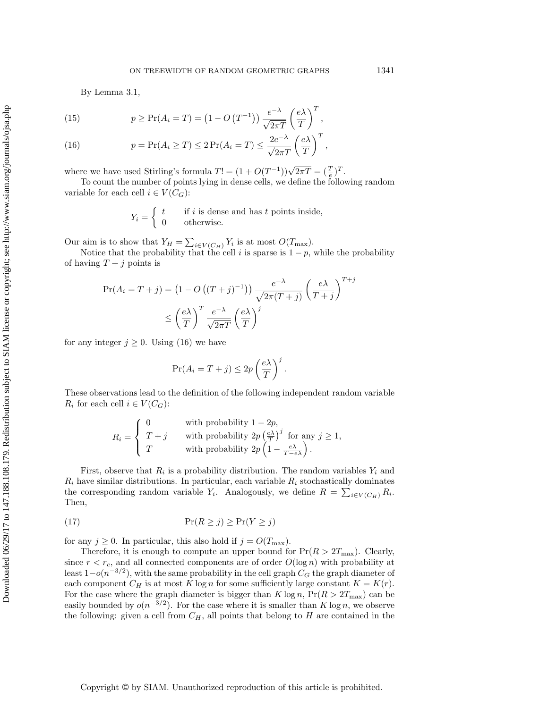T

By Lemma [3.1,](#page-13-0)

<span id="page-14-1"></span>(15) 
$$
p \ge \Pr(A_i = T) = (1 - O(T^{-1})) \frac{e^{-\lambda}}{\sqrt{2\pi T}} \left(\frac{e\lambda}{T}\right)^T,
$$

<span id="page-14-0"></span>(16) 
$$
p = \Pr(A_i \geq T) \leq 2 \Pr(A_i = T) \leq \frac{2e^{-\lambda}}{\sqrt{2\pi T}} \left(\frac{e\lambda}{T}\right)^T,
$$

where we have used Stirling's formula  $T! = (1 + O(T^{-1}))\sqrt{2\pi T} = (\frac{T}{e})^T$ .

To count the number of points lying in dense cells, we define the following random variable for each cell  $i \in V(C_G)$ :

$$
Y_i = \begin{cases} t & \text{if } i \text{ is dense and has } t \text{ points inside,} \\ 0 & \text{otherwise.} \end{cases}
$$

Our aim is to show that  $Y_H = \sum_{i \in V(C_H)} Y_i$  is at most  $O(T_{\text{max}})$ .

Notice that the probability that the cell i is sparse is  $1 - p$ , while the probability of having  $T + j$  points is

$$
\Pr(A_i = T + j) = \left(1 - O\left((T + j)^{-1}\right)\right) \frac{e^{-\lambda}}{\sqrt{2\pi(T + j)}} \left(\frac{e\lambda}{T + j}\right)^{T + j}
$$

$$
\leq \left(\frac{e\lambda}{T}\right)^T \frac{e^{-\lambda}}{\sqrt{2\pi T}} \left(\frac{e\lambda}{T}\right)^j
$$

for any integer  $j \geq 0$ . Using [\(16\)](#page-14-0) we have

$$
\Pr(A_i = T + j) \le 2p\left(\frac{e\lambda}{T}\right)^j.
$$

These observations lead to the definition of the following independent random variable  $R_i$  for each cell  $i \in V(C_G)$ :

$$
R_i = \begin{cases} 0 & \text{with probability } 1 - 2p, \\ T + j & \text{with probability } 2p \left(\frac{e\lambda}{T}\right)^j \text{ for any } j \ge 1, \\ T & \text{with probability } 2p \left(1 - \frac{e\lambda}{T - e\lambda}\right). \end{cases}
$$

First, observe that  $R_i$  is a probability distribution. The random variables  $Y_i$  and  $R_i$  have similar distributions. In particular, each variable  $R_i$  stochastically dominates the corresponding random variable  $Y_i$ . Analogously, we define  $R = \sum_{i \in V(C_H)} R_i$ . Then,

<span id="page-14-2"></span>
$$
Pr(R \ge j) \ge Pr(Y \ge j)
$$

for any  $j \geq 0$ . In particular, this also hold if  $j = O(T_{\text{max}})$ .

Therefore, it is enough to compute an upper bound for  $Pr(R > 2T_{\text{max}})$ . Clearly, since  $r < r_c$ , and all connected components are of order  $O(\log n)$  with probability at least  $1-o(n^{-3/2})$ , with the same probability in the cell graph  $C_G$  the graph diameter of each component  $C_H$  is at most K log n for some sufficiently large constant  $K = K(r)$ . For the case where the graph diameter is bigger than  $K \log n$ ,  $Pr(R > 2T_{\text{max}})$  can be easily bounded by  $o(n^{-3/2})$ . For the case where it is smaller than K log n, we observe the following: given a cell from  $C_H$ , all points that belong to  $H$  are contained in the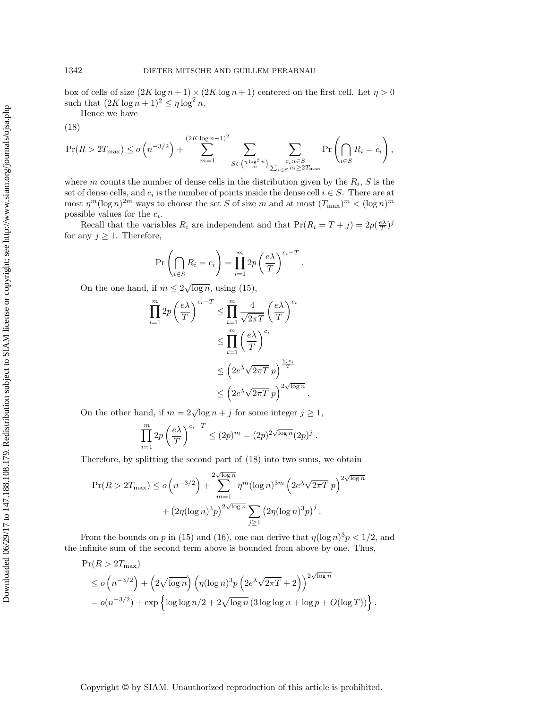box of cells of size  $(2K \log n + 1) \times (2K \log n + 1)$  centered on the first cell. Let  $\eta > 0$ such that  $(2K \log n + 1)^2 \le \eta \log^2 n$ .

Hence we have

<span id="page-15-0"></span>
$$
(18)
$$

$$
\Pr(R > 2T_{\max}) \le o\left(n^{-3/2}\right) + \sum_{m=1}^{(2K \log n + 1)^2} \sum_{S \in \binom{n \log^2 n}{m}} \sum_{\substack{c_i : i \in S \\ \sum_{i \in S} c_i \ge 2T_{\max}}} \Pr\left(\bigcap_{i \in S} R_i = c_i\right),
$$

where m counts the number of dense cells in the distribution given by the  $R_i$ , S is the set of dense cells, and  $c_i$  is the number of points inside the dense cell  $i \in S$ . There are at most  $\eta^m(\log n)^{2m}$  ways to choose the set S of size m and at most  $(T_{\max})^m < (\log n)^m$ possible values for the  $c_i$ .

Recall that the variables  $R_i$  are independent and that  $Pr(R_i = T + j) = 2p(\frac{e\lambda}{T})^j$ for any  $j \geq 1$ . Therefore,

$$
\Pr\left(\bigcap_{i\in S} R_i = c_i\right) = \prod_{i=1}^m 2p\left(\frac{e\lambda}{T}\right)^{c_i - T}
$$

.

.

.

On the one hand, if  $m \leq 2\sqrt{\log n}$ , using [\(15\)](#page-14-1),

$$
\prod_{i=1}^{m} 2p \left(\frac{e\lambda}{T}\right)^{c_i - T} \le \prod_{i=1}^{m} \frac{4}{\sqrt{2\pi T}} \left(\frac{e\lambda}{T}\right)^{c_i}
$$

$$
\le \prod_{i=1}^{m} \left(\frac{e\lambda}{T}\right)^{c_i}
$$

$$
\le \left(2e^{\lambda}\sqrt{2\pi T}p\right)^{\frac{\sum c_i}{T}}
$$

$$
\le \left(2e^{\lambda}\sqrt{2\pi T}p\right)^{2\sqrt{\log n}}
$$

On the other hand, if  $m = 2\sqrt{\log n} + j$  for some integer  $j \ge 1$ ,

$$
\prod_{i=1}^{m} 2p \left(\frac{e\lambda}{T}\right)^{c_i - T} \le (2p)^m = (2p)^{2\sqrt{\log n}} (2p)^j.
$$

Therefore, by splitting the second part of [\(18\)](#page-15-0) into two sums, we obtain

$$
\Pr(R > 2T_{\max}) \le o\left(n^{-3/2}\right) + \sum_{m=1}^{2\sqrt{\log n}} \eta^m (\log n)^{3m} \left(2e^{\lambda}\sqrt{2\pi T} \, p\right)^{2\sqrt{\log n}} + \left(2\eta(\log n)^3 p\right)^{2\sqrt{\log n}} \sum_{j\ge 1} \left(2\eta(\log n)^3 p\right)^j.
$$

From the bounds on p in [\(15\)](#page-14-1) and [\(16\)](#page-14-0), one can derive that  $\eta(\log n)^3 p < 1/2$ , and the infinite sum of the second term above is bounded from above by one. Thus,

$$
\Pr(R > 2T_{\max})
$$
  
\n
$$
\leq o\left(n^{-3/2}\right) + \left(2\sqrt{\log n}\right) \left(\eta(\log n)^3 p \left(2e^{\lambda}\sqrt{2\pi T} + 2\right)\right)^{2\sqrt{\log n}}
$$
  
\n
$$
= o(n^{-3/2}) + \exp\left\{\log\log n/2 + 2\sqrt{\log n} \left(3\log\log n + \log p + O(\log T)\right)\right\}
$$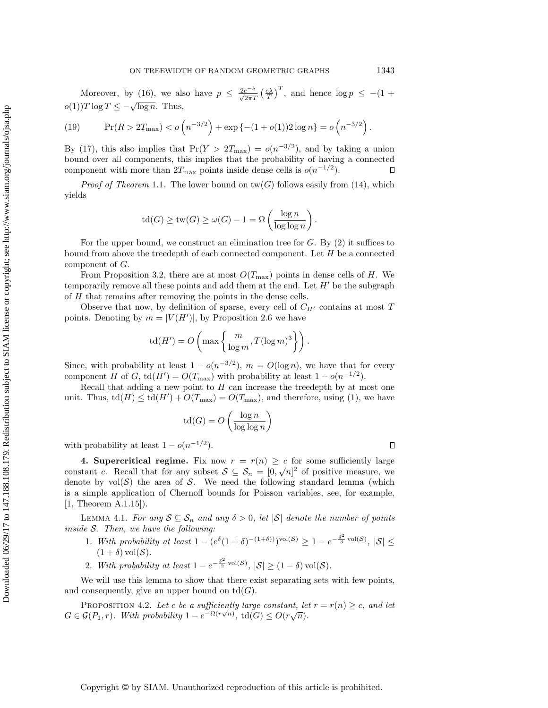Moreover, by [\(16\)](#page-14-0), we also have  $p \leq \frac{2e^{-\lambda}}{\sqrt{2\pi T}} \left(\frac{e\lambda}{T}\right)^T$ , and hence  $\log p \leq -(1 +$  $o(1)$ ) T log T  $\leq -\sqrt{\log n}$ . Thus,

(19) 
$$
\Pr(R > 2T_{\max}) < o\left(n^{-3/2}\right) + \exp\left\{-(1+o(1))2\log n\right\} = o\left(n^{-3/2}\right).
$$

By [\(17\)](#page-14-2), this also implies that  $Pr(Y > 2T_{\text{max}}) = o(n^{-3/2})$ , and by taking a union bound over all components, this implies that the probability of having a connected component with more than  $2T_{\text{max}}$  points inside dense cells is  $o(n^{-1/2})$ .  $\Box$ 

*Proof of Theorem [1.1](#page-3-1).* The lower bound on  $tw(G)$  follows easily from [\(14\)](#page-12-1), which yields

$$
\operatorname{td}(G) \ge \operatorname{tw}(G) \ge \omega(G) - 1 = \Omega\left(\frac{\log n}{\log \log n}\right).
$$

For the upper bound, we construct an elimination tree for  $G$ . By  $(2)$  it suffices to bound from above the treedepth of each connected component. Let  $H$  be a connected component of G.

From Proposition [3.2,](#page-13-1) there are at most  $O(T_{\text{max}})$  points in dense cells of H. We temporarily remove all these points and add them at the end. Let  $H'$  be the subgraph of H that remains after removing the points in the dense cells.

Observe that now, by definition of sparse, every cell of  $C_{H'}$  contains at most T points. Denoting by  $m = |V(H')|$ , by Proposition [2.6](#page-7-1) we have

$$
\operatorname{td}(H') = O\left(\max\left\{\frac{m}{\log m}, T(\log m)^3\right\}\right).
$$

Since, with probability at least  $1 - o(n^{-3/2})$ ,  $m = O(\log n)$ , we have that for every component H of G, td( $H'$ ) =  $O(T_{\text{max}})$  with probability at least  $1 - o(n^{-1/2})$ .

Recall that adding a new point to  $H$  can increase the treedepth by at most one unit. Thus,  $\text{td}(H) \leq \text{td}(H') + O(T_{\text{max}}) = O(T_{\text{max}})$ , and therefore, using [\(1\)](#page-2-1), we have

$$
\operatorname{td}(G) = O\left(\frac{\log n}{\log \log n}\right)
$$

with probability at least  $1 - o(n^{-1/2})$ .

<span id="page-16-0"></span>4. Supercritical regime. Fix now  $r = r(n) \geq c$  for some sufficiently large constant c. Recall that for any subset  $S \subseteq S_n = [0, \sqrt{n}]^2$  of positive measure, we denote by  $vol(S)$  the area of S. We need the following standard lemma (which is a simple application of Chernoff bounds for Poisson variables, see, for example, [\[1,](#page-27-22) Theorem A.1.15]).

<span id="page-16-1"></span>LEMMA 4.1. For any  $S \subseteq S_n$  and any  $\delta > 0$ , let  $|S|$  denote the number of points inside  $S$ . Then, we have the following:

- 1. With probability at least  $1 (e^{\delta}(1+\delta)^{-(1+\delta))})^{\text{vol}(\mathcal{S})} \geq 1 e^{-\frac{\delta^2}{3}\text{vol}(\mathcal{S})}, |\mathcal{S}| \leq$  $(1 + \delta)$  vol $(\mathcal{S})$ .
- 2. With probability at least  $1 e^{-\frac{\delta^2}{2} \operatorname{vol}(\mathcal{S})}$ ,  $|\mathcal{S}| \ge (1 \delta) \operatorname{vol}(\mathcal{S})$ .

We will use this lemma to show that there exist separating sets with few points, and consequently, give an upper bound on  $td(G)$ .

<span id="page-16-2"></span>PROPOSITION 4.2. Let c be a sufficiently large constant, let  $r = r(n) \geq c$ , and let FROPOSITION 4.2. Let C be a sufficiently targe constant, tell<br> $G \in \mathcal{G}(P_1,r)$ . With probability  $1 - e^{-\Omega(r\sqrt{n})}$ , td $(G) \leq O(r\sqrt{n})$ .

Copyright © by SIAM. Unauthorized reproduction of this article is prohibited.

 $\Box$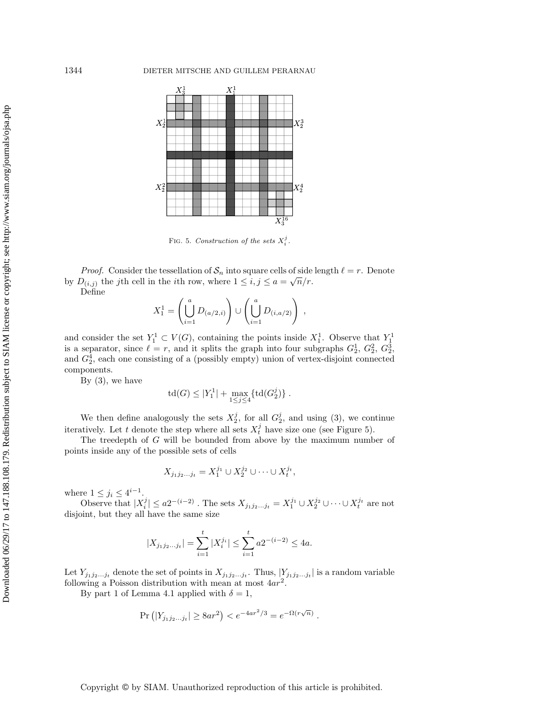<span id="page-17-0"></span>

FIG. 5. Construction of the sets  $X_i^j$ .

*Proof.* Consider the tessellation of  $S_n$  into square cells of side length  $\ell = r$ . Denote by  $D_{(i,j)}$  the jth cell in the *i*th row, where  $1 \leq i, j \leq a = \sqrt{n}/r$ . Define

$$
X_1^1 = \left(\bigcup_{i=1}^a D_{(a/2,i)}\right) \cup \left(\bigcup_{i=1}^a D_{(i,a/2)}\right) ,
$$

and consider the set  $Y_1^1 \subset V(G)$ , containing the points inside  $X_1^1$ . Observe that  $Y_1^1$ is a separator, since  $\ell = r$ , and it splits the graph into four subgraphs  $G_2^1, G_2^2, G_2^3$ , and  $G_2^4$ , each one consisting of a (possibly empty) union of vertex-disjoint connected components.

By  $(3)$ , we have

$$
{\rm td}(G)\leq |Y_1^1|+\max_{1\leq j\leq 4}\{{\rm td}(G_2^j)\}\;.
$$

We then define analogously the sets  $X_2^j$ , for all  $G_2^j$ , and using [\(3\)](#page-3-2), we continue iteratively. Let t denote the step where all sets  $X_t^j$  have size one (see Figure [5\)](#page-17-0).

The treedepth of G will be bounded from above by the maximum number of points inside any of the possible sets of cells

$$
X_{j_1j_2...j_t} = X_1^{j_1} \cup X_2^{j_2} \cup \cdots \cup X_t^{j_t},
$$

where  $1 \leq j_i \leq 4^{i-1}$ .

Observe that  $|X_i^j| \le a2^{-(i-2)}$ . The sets  $X_{j_1j_2...j_t} = X_1^{j_1} \cup X_2^{j_2} \cup \cdots \cup X_t^{j_t}$  are not disjoint, but they all have the same size

$$
|X_{j_1j_2...j_t}| = \sum_{i=1}^t |X_i^{j_i}| \le \sum_{i=1}^t a 2^{-(i-2)} \le 4a.
$$

Let  $Y_{j_1j_2...j_t}$  denote the set of points in  $X_{j_1j_2...j_t}$ . Thus,  $|Y_{j_1j_2...j_t}|$  is a random variable following a Poisson distribution with mean at most  $4ar^2$ .

By part 1 of Lemma [4.1](#page-16-1) applied with  $\delta = 1$ ,

$$
Pr (|Y_{j_1 j_2...j_t}| \ge 8ar^2) < e^{-4ar^2/3} = e^{-\Omega(r\sqrt{n})}.
$$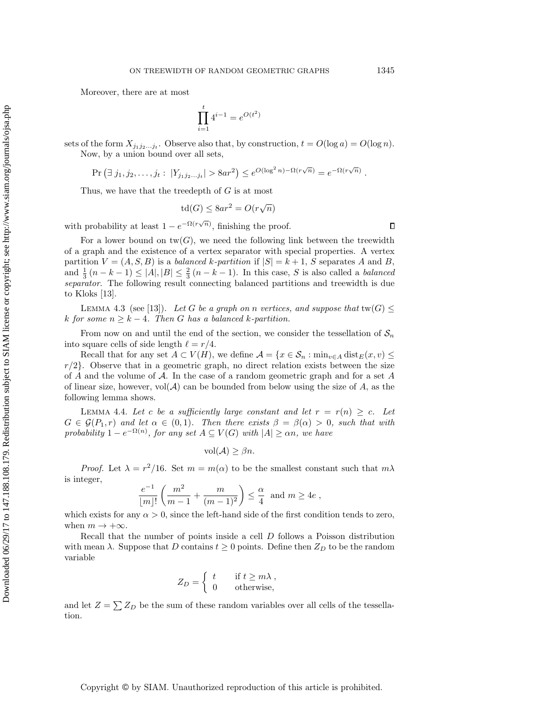Moreover, there are at most

$$
\prod_{i=1}^{t} 4^{i-1} = e^{O(t^2)}
$$

sets of the form  $X_{j_1j_2...j_t}$ . Observe also that, by construction,  $t = O(\log a) = O(\log n)$ . Now, by a union bound over all sets,

$$
\Pr\left(\exists j_1, j_2, \dots, j_t : |Y_{j_1 j_2 \dots j_t}| > 8ar^2\right) \le e^{O(\log^2 n) - \Omega(r\sqrt{n})} = e^{-\Omega(r\sqrt{n})}.
$$

Thus, we have that the treedepth of G is at most

$$
td(G) \le 8ar^2 = O(r\sqrt{n})
$$

with probability at least  $1 - e^{-\Omega(r\sqrt{n})}$ , finishing the proof.

For a lower bound on  $tw(G)$ , we need the following link between the treewidth of a graph and the existence of a vertex separator with special properties. A vertex partition  $V = (A, S, B)$  is a *balanced k-partition* if  $|S| = k + 1$ , S separates A and B, and  $\frac{1}{3}(n-k-1) \leq |A|, |B| \leq \frac{2}{3}(n-k-1)$ . In this case, S is also called a *balanced* separator. The following result connecting balanced partitions and treewidth is due to Kloks [\[13\]](#page-27-23).

<span id="page-18-0"></span>LEMMA 4.3 (see [\[13\]](#page-27-23)). Let G be a graph on n vertices, and suppose that  $\text{tw}(G) \leq$ k for some  $n \geq k - 4$ . Then G has a balanced k-partition.

From now on and until the end of the section, we consider the tessellation of  $S_n$ into square cells of side length  $\ell = r/4$ .

Recall that for any set  $A \subset V(H)$ , we define  $\mathcal{A} = \{x \in \mathcal{S}_n : \min_{y \in A} \text{dist}_E(x, v) \leq \epsilon\}$  $r/2$ . Observe that in a geometric graph, no direct relation exists between the size of A and the volume of  $A$ . In the case of a random geometric graph and for a set A of linear size, however,  $vol(A)$  can be bounded from below using the size of A, as the following lemma shows.

<span id="page-18-1"></span>LEMMA 4.4. Let c be a sufficiently large constant and let  $r = r(n) \geq c$ . Let  $G \in \mathcal{G}(P_1,r)$  and let  $\alpha \in (0,1)$ . Then there exists  $\beta = \beta(\alpha) > 0$ , such that with probability  $1-e^{-\Omega(n)}$ , for any set  $A\subseteq V(G)$  with  $|A|\geq \alpha n$ , we have

$$
\text{vol}(\mathcal{A}) \geq \beta n.
$$

*Proof.* Let  $\lambda = r^2/16$ . Set  $m = m(\alpha)$  to be the smallest constant such that  $m\lambda$ is integer,

$$
\frac{e^{-1}}{\lfloor m \rfloor!} \left( \frac{m^2}{m-1} + \frac{m}{(m-1)^2} \right) \le \frac{\alpha}{4} \text{ and } m \ge 4e,
$$

which exists for any  $\alpha > 0$ , since the left-hand side of the first condition tends to zero, when  $m \to +\infty$ .

Recall that the number of points inside a cell D follows a Poisson distribution with mean  $\lambda$ . Suppose that D contains  $t \geq 0$  points. Define then  $Z_D$  to be the random variable

$$
Z_D = \begin{cases} t & \text{if } t \ge m\lambda, \\ 0 & \text{otherwise,} \end{cases}
$$

and let  $Z = \sum Z_D$  be the sum of these random variables over all cells of the tessellation.

 $\Box$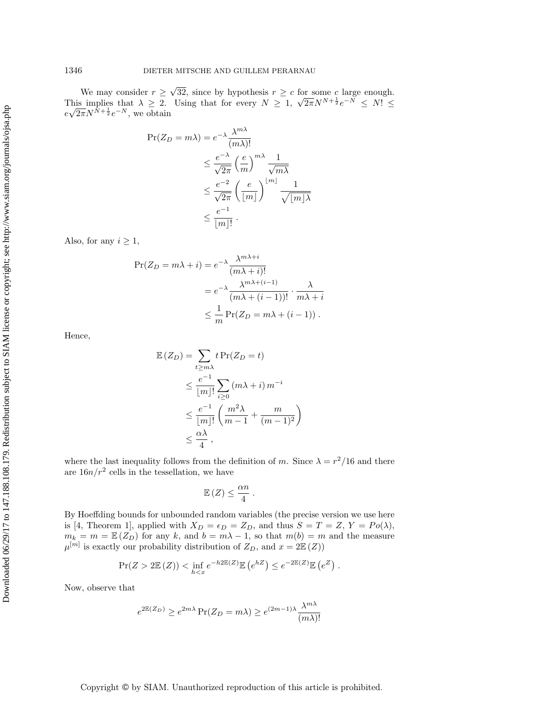We may consider  $r \geq$ √ 32, since by hypothesis  $r \geq c$  for some c large enough. We may consider  $r \geq \sqrt{32}$ , since by hypothesis  $r \geq c$  for some c large enough.<br>This implies that  $\lambda \geq 2$ . Using that for every  $N \geq 1$ ,  $\sqrt{2\pi}N^{N+\frac{1}{2}}e^{-N} \leq N! \leq$ e This implies that  $\lambda \geq 2$ .<br> $\sqrt{2\pi}N^{N+\frac{1}{2}}e^{-N}$ , we obtain

$$
\Pr(Z_D = m\lambda) = e^{-\lambda} \frac{\lambda^{m\lambda}}{(m\lambda)!}
$$
  
\n
$$
\leq \frac{e^{-\lambda}}{\sqrt{2\pi}} \left(\frac{e}{m}\right)^{m\lambda} \frac{1}{\sqrt{m\lambda}}
$$
  
\n
$$
\leq \frac{e^{-2}}{\sqrt{2\pi}} \left(\frac{e}{\lfloor m \rfloor}\right)^{\lfloor m \rfloor} \frac{1}{\sqrt{\lfloor m \rfloor \lambda}}
$$
  
\n
$$
\leq \frac{e^{-1}}{\lfloor m \rfloor!} .
$$

Also, for any  $i \geq 1$ ,

$$
\Pr(Z_D = m\lambda + i) = e^{-\lambda} \frac{\lambda^{m\lambda + i}}{(m\lambda + i)!}
$$
  
=  $e^{-\lambda} \frac{\lambda^{m\lambda + (i-1)}}{(m\lambda + (i-1))!} \cdot \frac{\lambda}{m\lambda + i}$   
 $\leq \frac{1}{m} \Pr(Z_D = m\lambda + (i-1)).$ 

Hence,

$$
\mathbb{E}(Z_D) = \sum_{t \ge m\lambda} t \Pr(Z_D = t)
$$
\n
$$
\le \frac{e^{-1}}{[m]!} \sum_{i \ge 0} (m\lambda + i) m^{-i}
$$
\n
$$
\le \frac{e^{-1}}{[m]!} \left( \frac{m^2 \lambda}{m - 1} + \frac{m}{(m - 1)^2} \right)
$$
\n
$$
\le \frac{\alpha \lambda}{4},
$$

where the last inequality follows from the definition of m. Since  $\lambda = r^2/16$  and there are  $16n/r^2$  cells in the tessellation, we have

$$
\mathbb{E}\left(Z\right) \leq \frac{\alpha n}{4} \; .
$$

By Hoeffding bounds for unbounded random variables (the precise version we use here is [\[4,](#page-27-24) Theorem 1], applied with  $X_D = \epsilon_D = Z_D$ , and thus  $S = T = Z$ ,  $Y = Po(\lambda)$ ,  $m_k = m = \mathbb{E} (Z_D)$  for any k, and  $b = m\lambda - 1$ , so that  $m(b) = m$  and the measure  $\mu^{[m]}$  is exactly our probability distribution of  $Z_D$ , and  $x = 2\mathbb{E}(Z)$ )

$$
\Pr(Z > 2\mathbb{E}(Z)) < \inf_{h \le x} e^{-h2\mathbb{E}(Z)} \mathbb{E}(e^{hZ}) \le e^{-2\mathbb{E}(Z)} \mathbb{E}(e^{Z}).
$$

Now, observe that

$$
e^{2\mathbb{E}(Z_D)} \ge e^{2m\lambda} \Pr(Z_D = m\lambda) \ge e^{(2m-1)\lambda} \frac{\lambda^{m\lambda}}{(m\lambda)!}
$$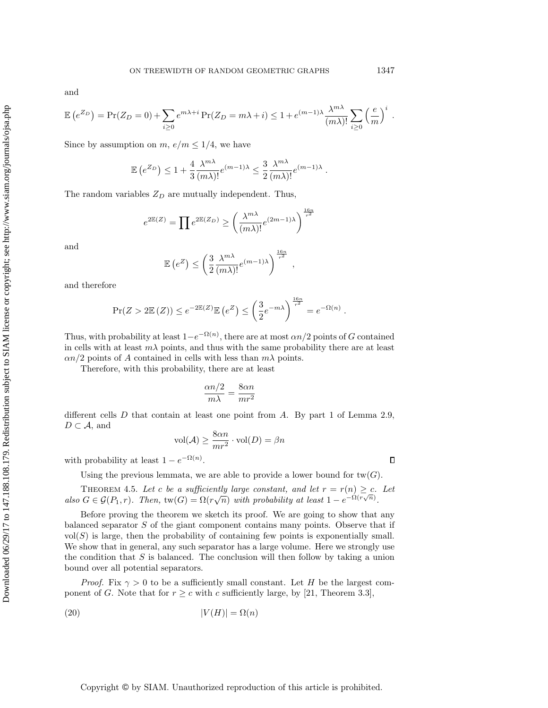$\Box$ 

and

$$
\mathbb{E}\left(e^{Z_D}\right) = \Pr(Z_D = 0) + \sum_{i\geq 0} e^{m\lambda + i} \Pr(Z_D = m\lambda + i) \leq 1 + e^{(m-1)\lambda} \frac{\lambda^{m\lambda}}{(m\lambda)!} \sum_{i\geq 0} \left(\frac{e}{m}\right)^i.
$$

Since by assumption on  $m, e/m \leq 1/4$ , we have

$$
\mathbb{E}\left(e^{Z_D}\right) \leq 1 + \frac{4}{3} \frac{\lambda^{m\lambda}}{(m\lambda)!} e^{(m-1)\lambda} \leq \frac{3}{2} \frac{\lambda^{m\lambda}}{(m\lambda)!} e^{(m-1)\lambda}.
$$

The random variables  $Z_D$  are mutually independent. Thus,

$$
e^{2\mathbb{E}(Z)} = \prod e^{2\mathbb{E}(Z_D)} \ge \left(\frac{\lambda^{m\lambda}}{(m\lambda)!}e^{(2m-1)\lambda}\right)^{\frac{16n}{r^2}}
$$

and

$$
\mathbb{E}\left(e^Z\right) \le \left(\frac{3}{2} \frac{\lambda^{m\lambda}}{(m\lambda)!} e^{(m-1)\lambda}\right)^{\frac{16n}{r^2}}
$$

,

and therefore

$$
\Pr(Z > 2\mathbb{E}(Z)) \le e^{-2\mathbb{E}(Z)} \mathbb{E}\left(e^Z\right) \le \left(\frac{3}{2}e^{-m\lambda}\right)^{\frac{16n}{r^2}} = e^{-\Omega(n)}.
$$

Thus, with probability at least  $1-e^{-\Omega(n)}$ , there are at most  $\alpha n/2$  points of G contained in cells with at least  $m\lambda$  points, and thus with the same probability there are at least  $\alpha n/2$  points of A contained in cells with less than  $m\lambda$  points.

Therefore, with this probability, there are at least

$$
\frac{\alpha n/2}{m\lambda} = \frac{8\alpha n}{mr^2}
$$

different cells  $D$  that contain at least one point from  $A$ . By part 1 of Lemma [2.9,](#page-11-0)  $D \subset \mathcal{A}$ , and

$$
\text{vol}(\mathcal{A}) \ge \frac{8\alpha n}{mr^2} \cdot \text{vol}(D) = \beta n
$$

with probability at least  $1 - e^{-\Omega(n)}$ .

Using the previous lemmata, we are able to provide a lower bound for  $tw(G)$ .

<span id="page-20-1"></span>THEOREM 4.5. Let c be a sufficiently large constant, and let  $r = r(n) \geq c$ . Let also  $G \in \mathcal{G}(P_1,r)$ . Then,  $\text{tw}(G) = \Omega(r\sqrt{n})$  with probability at least  $1 - e^{-\Omega(r\sqrt{n})}$ .

Before proving the theorem we sketch its proof. We are going to show that any balanced separator S of the giant component contains many points. Observe that if  $vol(S)$  is large, then the probability of containing few points is exponentially small. We show that in general, any such separator has a large volume. Here we strongly use the condition that  $S$  is balanced. The conclusion will then follow by taking a union bound over all potential separators.

*Proof.* Fix  $\gamma > 0$  to be a sufficiently small constant. Let H be the largest component of G. Note that for  $r \geq c$  with c sufficiently large, by [\[21,](#page-27-25) Theorem 3.3],

<span id="page-20-0"></span>
$$
(20)\t\t\t |V(H)| = \Omega(n)
$$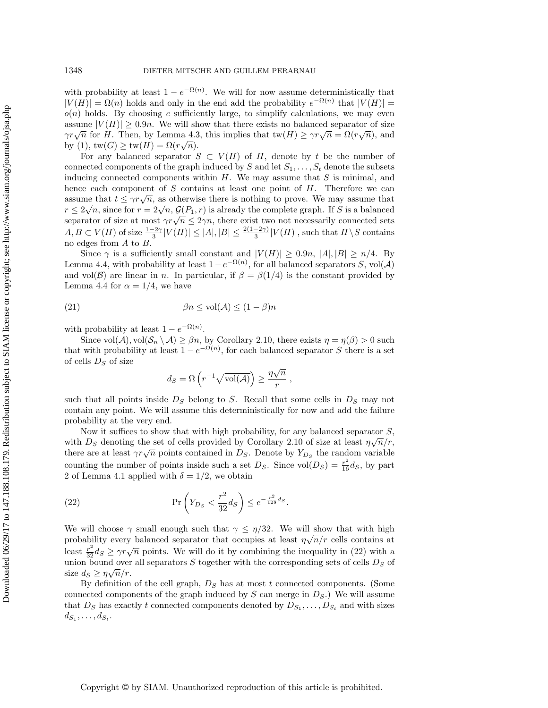with probability at least  $1 - e^{-\Omega(n)}$ . We will for now assume deterministically that  $|V(H)| = \Omega(n)$  holds and only in the end add the probability  $e^{-\Omega(n)}$  that  $|V(H)| =$  $o(n)$  holds. By choosing c sufficiently large, to simplify calculations, we may even assume  $|V(H)| \geq 0.9n$ . We will show that there exists no balanced separator of size assume  $|V(H)| \ge 0.9n$ . We will show that there exists no balanced separator of size  $\gamma r \sqrt{n}$  for H. Then, by Lemma [4.3,](#page-18-0) this implies that  $\text{tw}(H) \ge \gamma r \sqrt{n} = \Omega(r \sqrt{n})$ , and by [\(1\)](#page-2-1),  $tw(G) \geq tw(H) = \Omega(r\sqrt{n}).$ 

For any balanced separator  $S \subset V(H)$  of H, denote by t be the number of connected components of the graph induced by S and let  $S_1, \ldots, S_t$  denote the subsets inducing connected components within  $H$ . We may assume that  $S$  is minimal, and hence each component of  $S$  contains at least one point of  $H$ . Therefore we can mence each component of 3 contains at least one point of H. Therefore we can<br>assume that  $t \leq \gamma r \sqrt{n}$ , as otherwise there is nothing to prove. We may assume that assume that  $t \leq \gamma r \sqrt{n}$ , as otherwise there is hothing to prove. We may assume that  $r \leq 2\sqrt{n}$ , since for  $r = 2\sqrt{n}$ ,  $\mathcal{G}(P_1, r)$  is already the complete graph. If S is a balanced  $r \leq 2\sqrt{n}$ , since for  $r = 2\sqrt{n}$ ,  $\mathcal{G}(r_1, r)$  is already the complete graph. If S is a balanced sets separator of size at most  $\gamma r \sqrt{n} \leq 2\gamma n$ , there exist two not necessarily connected sets  $A, B \subset V(H)$  of size  $\frac{1-2\gamma}{3}|V(H)| \leq |A|, |B| \leq \frac{2(1-2\gamma)}{3}|V(H)|$ , such that  $H \setminus S$  contains no edges from A to B.

Since  $\gamma$  is a sufficiently small constant and  $|V(H)| \geq 0.9n$ ,  $|A|, |B| \geq n/4$ . By Lemma [4.4,](#page-18-1) with probability at least  $1 - e^{-\Omega(n)}$ , for all balanced separators S, vol(A) and vol(B) are linear in n. In particular, if  $\beta = \beta(1/4)$  is the constant provided by Lemma [4.4](#page-18-1) for  $\alpha = 1/4$ , we have

(21) 
$$
\beta n \le \text{vol}(\mathcal{A}) \le (1 - \beta)n
$$

with probability at least  $1 - e^{-\Omega(n)}$ .

Since  $\text{vol}(\mathcal{A}), \text{vol}(\mathcal{S}_n \setminus \mathcal{A}) \geq \beta n$ , by Corollary [2.10,](#page-12-2) there exists  $\eta = \eta(\beta) > 0$  such that with probability at least  $1 - e^{-\Omega(n)}$ , for each balanced separator S there is a set of cells  $D<sub>S</sub>$  of size √

$$
d_S = \Omega\left(r^{-1}\sqrt{\text{vol}(\mathcal{A})}\right) \ge \frac{\eta\sqrt{n}}{r},\,
$$

such that all points inside  $D<sub>S</sub>$  belong to S. Recall that some cells in  $D<sub>S</sub>$  may not contain any point. We will assume this deterministically for now and add the failure probability at the very end.

Now it suffices to show that with high probability, for any balanced separator  $S$ , with  $D<sub>S</sub>$  denoting the set of cells provided by Corollary [2.10](#page-12-2) of size at least  $\eta\sqrt{n}/r$ , with  $D_S$  denoting the set of cens provided by Coronary 2.10 of size at least  $\eta \sqrt{n/r}$ , there are at least  $\gamma r \sqrt{n}$  points contained in  $D_S$ . Denote by  $Y_{D_S}$  the random variable counting the number of points inside such a set  $D_S$ . Since vol $(D_S) = \frac{r^2}{16} d_S$ , by part 2 of Lemma [4.1](#page-16-1) applied with  $\delta = 1/2$ , we obtain

<span id="page-21-0"></span>(22) 
$$
\Pr\left(Y_{D_S} < \frac{r^2}{32}d_S\right) \leq e^{-\frac{r^2}{128}ds}.
$$

We will choose  $\gamma$  small enough such that  $\gamma \leq \eta/32$ . We will show that with high probability every balanced separator that occupies at least  $\eta\sqrt{n}/r$  cells contains at least  $\frac{r^2}{32}d_S \ge \gamma r\sqrt{n}$  points. We will do it by combining the inequality in [\(22\)](#page-21-0) with a union bound over all separators S together with the corresponding sets of cells  $D_S$  of size  $d_S \geq \eta \sqrt{n}/r$ .

By definition of the cell graph,  $D<sub>S</sub>$  has at most t connected components. (Some connected components of the graph induced by  $S$  can merge in  $D_S$ .) We will assume that  $D_S$  has exactly t connected components denoted by  $D_{S_1}, \ldots, D_{S_t}$  and with sizes  $d_{S_1}, \ldots, d_{S_t}.$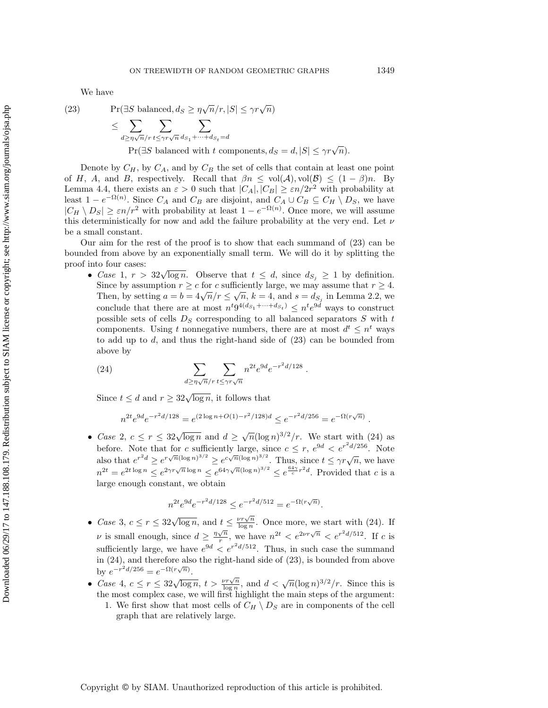We have

<span id="page-22-0"></span>(23) 
$$
\Pr(\exists S \text{ balanced}, d_S \ge \eta \sqrt{n}/r, |S| \le \gamma r \sqrt{n})
$$

$$
\le \sum_{d \ge \eta \sqrt{n}/r} \sum_{t \le \gamma r \sqrt{n}} \sum_{d_{S_1} + \dots + d_{S_t} = d}
$$

$$
\Pr(\exists S \text{ balanced with } t \text{ components}, d_S = d, |S| \le \gamma r \sqrt{n}).
$$

Denote by  $C_H$ , by  $C_A$ , and by  $C_B$  the set of cells that contain at least one point of H, A, and B, respectively. Recall that  $\beta n \leq \text{vol}(\mathcal{A}), \text{vol}(\mathcal{B}) \leq (1 - \beta)n$ . By Lemma [4.4,](#page-18-1) there exists an  $\varepsilon > 0$  such that  $|C_A|, |C_B| \geq \varepsilon n/2r^2$  with probability at least  $1 - e^{-\Omega(n)}$ . Since  $C_A$  and  $C_B$  are disjoint, and  $C_A \cup C_B \subseteq C_H \setminus D_S$ , we have  $|C_H \setminus D_S| \ge \varepsilon n/r^2$  with probability at least  $1 - e^{-\Omega(n)}$ . Once more, we will assume this deterministically for now and add the failure probability at the very end. Let  $\nu$ be a small constant.

Our aim for the rest of the proof is to show that each summand of [\(23\)](#page-22-0) can be bounded from above by an exponentially small term. We will do it by splitting the proof into four cases:

• Case 1,  $r > 32\sqrt{\log n}$ . Observe that  $t \leq d$ , since  $d_{S_j} \geq 1$  by definition. Since by assumption  $r \geq c$  for c sufficiently large, we may assume that  $r \geq 4$ . Since by assumption  $r \ge c$  for c sumertify large, we may assume that  $r \ge 4$ .<br>Then, by setting  $a = b = 4\sqrt{n}/r \le \sqrt{n}$ ,  $k = 4$ , and  $s = d_{S_j}$  in Lemma [2.2,](#page-5-1) we conclude that there are at most  $n^{t} 9^{4(d_{S_1} + \dots + d_{S_t})} \leq n^{t} e^{9d}$  ways to construct possible sets of cells  $D_S$  corresponding to all balanced separators  $S$  with  $t$ components. Using t nonnegative numbers, there are at most  $d^t \leq n^t$  ways to add up to  $d$ , and thus the right-hand side of  $(23)$  can be bounded from above by

(24) 
$$
\sum_{d \ge \eta \sqrt{n}/r} \sum_{t \le \gamma r \sqrt{n}} n^{2t} e^{9d} e^{-r^2 d/128}.
$$

Since  $t \leq d$  and  $r \geq 32\sqrt{\log n}$ , it follows that

<span id="page-22-1"></span>
$$
n^{2t}e^{9d}e^{-r^2d/128} = e^{(2\log n + O(1) - r^2/128)d} \le e^{-r^2d/256} = e^{-\Omega(r\sqrt{n})}
$$

• Case 2,  $c \leq r \leq 32\sqrt{\log n}$  and  $d \geq \sqrt{n}(\log n)^{3/2}/r$ . We start with [\(24\)](#page-22-1) as before. Note that for c sufficiently large, since  $c \leq r$ ,  $e^{9d} < e^{r^2 d/256}$ . Note also that  $e^{r^2 d} \ge e^{r\sqrt{n}(\log n)^{3/2}} \ge e^{c\sqrt{n}(\log n)^{3/2}}$ . Thus, since  $t \le \gamma r \sqrt{n}$ , we have  $n^{2t} = e^{2t \log n} \leq e^{2\gamma r \sqrt{n} \log n} \leq e^{64\gamma \sqrt{n} (\log n)^{3/2}} \leq e^{\frac{64\gamma}{c} r^2 d}$ . Provided that c is a large enough constant, we obtain

$$
n^{2t}e^{9d}e^{-r^2d/128} \le e^{-r^2d/512} = e^{-\Omega(r\sqrt{n})}.
$$

- Case 3,  $c \leq r \leq 32\sqrt{\log n}$ , and  $t \leq \frac{\nu r \sqrt{n}}{\log n}$  $t \leq \frac{\nu r \sqrt{n}}{\log n}$ . Once more, we start with [\(24\)](#page-22-1). If  $\nu$  is small enough, since  $d \geq \frac{\eta \sqrt{n}}{n}$  $\frac{\sqrt{n}}{r}$ , we have  $n^{2t} < e^{2\nu r \sqrt{n}} < e^{r^2 d/512}$ . If c is sufficiently large, we have  $e^{9d} < e^{r^2 d/512}$ . Thus, in such case the summand in [\(24\)](#page-22-1), and therefore also the right-hand side of [\(23\)](#page-22-0), is bounded from above by  $e^{-r^2 d/256} = e^{-\Omega(r\sqrt{n})}$ .
- Case 4,  $c \leq r \leq 32\sqrt{\log n}, t > \frac{\nu r \sqrt{n}}{\log n}$  $\frac{\sqrt{r}\sqrt{n}}{\log n}$ , and  $d < \sqrt{n}(\log n)^{3/2}/r$ . Since this is the most complex case, we will first highlight the main steps of the argument:
	- 1. We first show that most cells of  $C_H \setminus D_S$  are in components of the cell graph that are relatively large.

.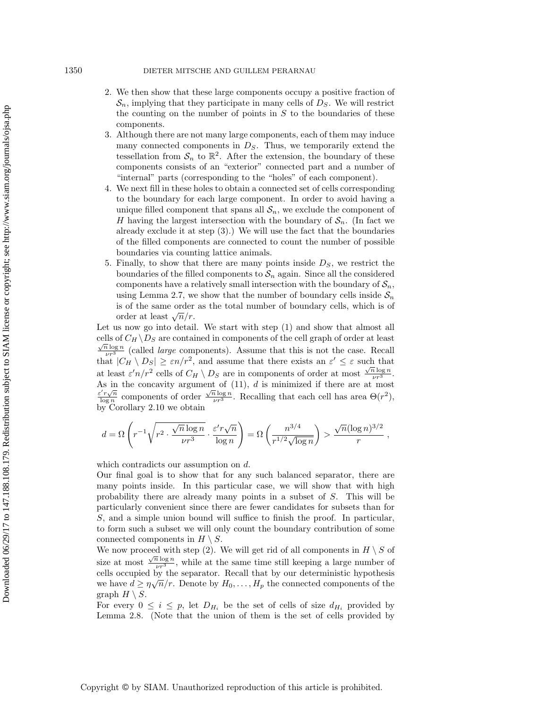#### 1350 DIETER MITSCHE AND GUILLEM PERARNAU

- 2. We then show that these large components occupy a positive fraction of  $\mathcal{S}_n$ , implying that they participate in many cells of  $D_S$ . We will restrict the counting on the number of points in  $S$  to the boundaries of these components.
- 3. Although there are not many large components, each of them may induce many connected components in  $D<sub>S</sub>$ . Thus, we temporarily extend the tessellation from  $\mathcal{S}_n$  to  $\mathbb{R}^2$ . After the extension, the boundary of these components consists of an "exterior" connected part and a number of "internal" parts (corresponding to the "holes" of each component).
- 4. We next fill in these holes to obtain a connected set of cells corresponding to the boundary for each large component. In order to avoid having a unique filled component that spans all  $S_n$ , we exclude the component of H having the largest intersection with the boundary of  $S_n$ . (In fact we already exclude it at step (3).) We will use the fact that the boundaries of the filled components are connected to count the number of possible boundaries via counting lattice animals.
- 5. Finally, to show that there are many points inside  $D<sub>S</sub>$ , we restrict the boundaries of the filled components to  $S_n$  again. Since all the considered components have a relatively small intersection with the boundary of  $S_n$ , using Lemma [2.7,](#page-9-0) we show that the number of boundary cells inside  $S_n$ is of the same order as the total number of boundary cells, which is of is of the same order<br>order at least  $\sqrt{n}/r$ .

Let us now go into detail. We start with step (1) and show that almost all cells of  $C_H \backslash D_S$  are contained in components of the cell graph of order at least  $\frac{\sqrt{n} \log n}{\sqrt{n}}$  (called *large* components). Assume that this is not the case. Recall that  $|C_H \setminus D_S| \ge \varepsilon n/r^2$ , and assume that there exists an  $\varepsilon' \le \varepsilon$  such that at least  $\varepsilon' n/r^2$  cells of  $C_H \setminus D_S$  are in components of order at most  $\frac{\sqrt{n} \log n}{\nu r^3}$ . As in the concavity argument of  $(11)$ ,  $d$  is minimized if there are at most  $\epsilon' r \sqrt{n}$  $\frac{v'_l v \sqrt{n}}{\log n}$  components of order  $\frac{\sqrt{n} \log n}{\nu r^3}$ . Recalling that each cell has area  $\Theta(r^2)$ , by Corollary [2.10](#page-12-2) we obtain

$$
d = \Omega \left( r^{-1} \sqrt{r^2 \cdot \frac{\sqrt{n} \log n}{\nu r^3}} \cdot \frac{\varepsilon' r \sqrt{n}}{\log n} \right) = \Omega \left( \frac{n^{3/4}}{r^{1/2} \sqrt{\log n}} \right) > \frac{\sqrt{n} (\log n)^{3/2}}{r},
$$

which contradicts our assumption on d.

Our final goal is to show that for any such balanced separator, there are many points inside. In this particular case, we will show that with high probability there are already many points in a subset of S. This will be particularly convenient since there are fewer candidates for subsets than for S, and a simple union bound will suffice to finish the proof. In particular, to form such a subset we will only count the boundary contribution of some connected components in  $H \setminus S$ .

We now proceed with step (2). We will get rid of all components in  $H \setminus S$  of size at most  $\frac{\sqrt{n} \log n}{\nu r^3}$ , while at the same time still keeping a large number of cells occupied by the separator. Recall that by our deterministic hypothesis we have  $d \geq \eta \sqrt{n}/r$ . Denote by  $H_0, \ldots, H_p$  the connected components of the graph  $H \setminus S$ .

For every  $0 \leq i \leq p$ , let  $D_{H_i}$  be the set of cells of size  $d_{H_i}$  provided by Lemma [2.8.](#page-10-1) (Note that the union of them is the set of cells provided by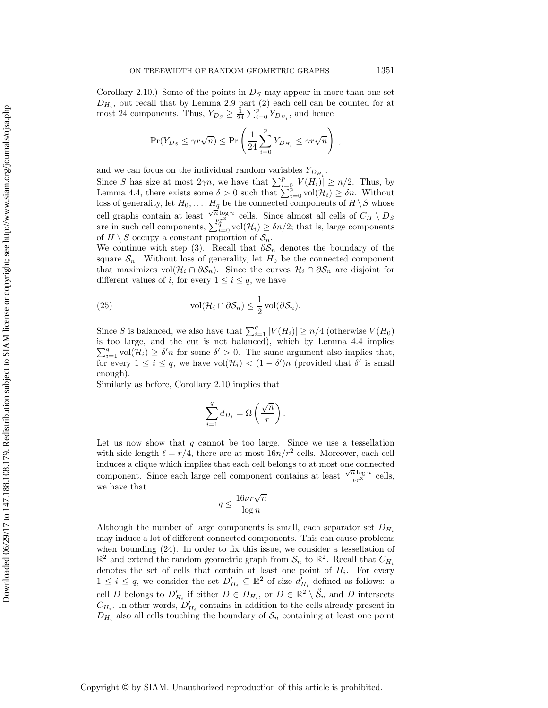Corollary [2.10.](#page-12-2)) Some of the points in  $D<sub>S</sub>$  may appear in more than one set  $D_{H_i}$ , but recall that by Lemma [2.9](#page-11-0) part (2) each cell can be counted for at most 24 components. Thus,  $Y_{D_S} \geq \frac{1}{24} \sum_{i=0}^{p} Y_{D_{H_i}}$ , and hence

$$
\Pr(Y_{D_S} \le \gamma r \sqrt{n}) \le \Pr\left(\frac{1}{24} \sum_{i=0}^p Y_{D_{H_i}} \le \gamma r \sqrt{n}\right) ,
$$

and we can focus on the individual random variables  $Y_{D_{H_i}}$ .

Since S has size at most  $2\gamma n$ , we have that  $\sum_{i=0}^{p} |V(H_i)| \geq n/2$ . Thus, by Lemma [4.4,](#page-18-1) there exists some  $\delta > 0$  such that  $\sum_{i=0}^{\infty} \text{vol}(\mathcal{H}_i) \geq \delta n$ . Without loss of generality, let  $H_0, \ldots, H_q$  be the connected components of  $H \setminus S$  whose cell graphs contain at least  $\frac{\sqrt{n} \log n}{\sqrt{n^3}}$  cells. Since almost all cells of  $C_H \setminus D_S$ are in such cell components,  $\sum_{i=0}^{q} vol(\mathcal{H}_i) \geq \delta n/2$ ; that is, large components of  $H \setminus S$  occupy a constant proportion of  $S_n$ .

We continue with step (3). Recall that  $\partial S_n$  denotes the boundary of the square  $S_n$ . Without loss of generality, let  $H_0$  be the connected component that maximizes vol $(\mathcal{H}_i \cap \partial \mathcal{S}_n)$ . Since the curves  $\mathcal{H}_i \cap \partial \mathcal{S}_n$  are disjoint for different values of *i*, for every  $1 \leq i \leq q$ , we have

<span id="page-24-0"></span>(25) 
$$
\operatorname{vol}(\mathcal{H}_i \cap \partial \mathcal{S}_n) \leq \frac{1}{2} \operatorname{vol}(\partial \mathcal{S}_n).
$$

Since S is balanced, we also have that  $\sum_{i=1}^{q} |V(H_i)| \geq n/4$  (otherwise  $V(H_0)$ ) is too large, and the cut is not balanced), which by Lemma [4.4](#page-18-1) implies  $\sum_{i=1}^{q}$  vol $(\mathcal{H}_i) \geq \delta' n$  for some  $\delta' > 0$ . The same argument also implies that, for every  $1 \leq i \leq q$ , we have  $\text{vol}(\mathcal{H}_i) < (1 - \delta')n$  (provided that  $\delta'$  is small enough).

Similarly as before, Corollary [2.10](#page-12-2) implies that

$$
\sum_{i=1}^{q} d_{H_i} = \Omega\left(\frac{\sqrt{n}}{r}\right)
$$

.

Let us now show that  $q$  cannot be too large. Since we use a tessellation with side length  $\ell = r/4$ , there are at most  $16n/r^2$  cells. Moreover, each cell induces a clique which implies that each cell belongs to at most one connected √ component. Since each large cell component contains at least  $\frac{\sqrt{n}\log n}{\nu r^3}$  cells, we have that

$$
q \le \frac{16\nu r\sqrt{n}}{\log n} .
$$

Although the number of large components is small, each separator set  $D_{H_i}$ may induce a lot of different connected components. This can cause problems when bounding [\(24\)](#page-22-1). In order to fix this issue, we consider a tessellation of  $\mathbb{R}^2$  and extend the random geometric graph from  $\mathcal{S}_n$  to  $\mathbb{R}^2$ . Recall that  $C_{H_i}$ denotes the set of cells that contain at least one point of  $H_i$ . For every  $1 \leq i \leq q$ , we consider the set  $D'_{H_i} \subseteq \mathbb{R}^2$  of size  $d'_{H_i}$  defined as follows: a cell D belongs to  $D'_{H_i}$  if either  $D \in D_{H_i}$ , or  $D \in \mathbb{R}^2 \setminus \mathcal{S}_n$  and D intersects  $C_{H_i}$ . In other words,  $D'_{H_i}$  contains in addition to the cells already present in  $D_{H_i}$  also all cells touching the boundary of  $S_n$  containing at least one point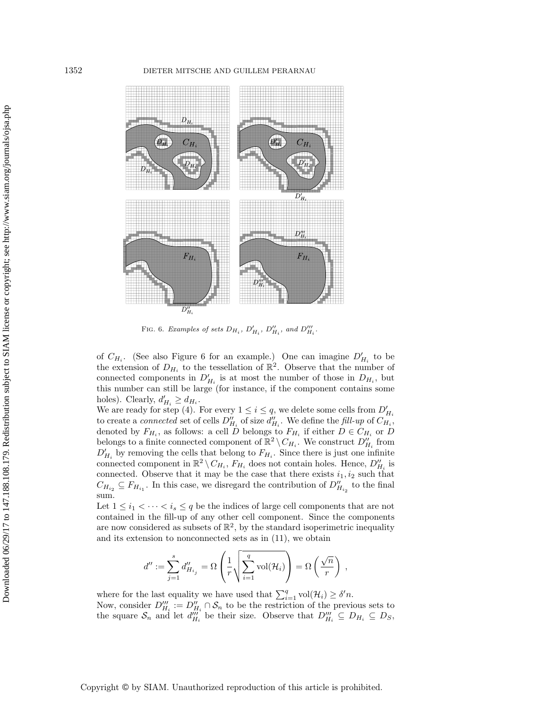<span id="page-25-0"></span>

FIG. 6. Examples of sets  $D_{H_i}$ ,  $D'_{H_i}$ ,  $D''_{H_i}$ , and  $D'''_{H_i}$ .

of  $C_{H_i}$ . (See also Figure [6](#page-25-0) for an example.) One can imagine  $D'_{H_i}$  to be the extension of  $D_{H_i}$  to the tessellation of  $\mathbb{R}^2$ . Observe that the number of connected components in  $D'_{H_i}$  is at most the number of those in  $D_{H_i}$ , but this number can still be large (for instance, if the component contains some holes). Clearly,  $d'_{H_i} \geq d_{H_i}$ .

We are ready for step (4). For every  $1 \leq i \leq q$ , we delete some cells from  $D'_{H_i}$ to create a *connected* set of cells  $D''_{H_i}$  of size  $d''_{H_i}$ . We define the fill-up of  $C_{H_i}$ , denoted by  $F_{H_i}$ , as follows: a cell D belongs to  $F_{H_i}$  if either  $D \in C_{H_i}$  or D belongs to a finite connected component of  $\mathbb{R}^2 \setminus C_{H_i}$ . We construct  $D''_{H_i}$  from  $D'_{H_i}$  by removing the cells that belong to  $F_{H_i}$ . Since there is just one infinite connected component in  $\mathbb{R}^2 \setminus C_{H_i}$ ,  $F_{H_i}$  does not contain holes. Hence,  $D''_{H_i}$  is connected. Observe that it may be the case that there exists  $i_1, i_2$  such that  $C_{H_{i_2}} \subseteq F_{H_{i_1}}$ . In this case, we disregard the contribution of  $D''_{H_{i_2}}$  to the final sum.

Let  $1 \leq i_1 < \cdots < i_s \leq q$  be the indices of large cell components that are not contained in the fill-up of any other cell component. Since the components are now considered as subsets of  $\mathbb{R}^2$ , by the standard isoperimetric inequality and its extension to nonconnected sets as in [\(11\)](#page-9-3), we obtain

$$
d'':=\sum_{j=1}^s d''_{H_{i_j}}=\Omega\left(\frac{1}{r}\sqrt{\sum_{i=1}^q \mathrm{vol}(\mathcal{H}_i)}\right)=\Omega\left(\frac{\sqrt{n}}{r}\right),\,
$$

where for the last equality we have used that  $\sum_{i=1}^{q} vol(\mathcal{H}_i) \geq \delta'n$ . Now, consider  $D_{H_i}''' := D_{H_i}'' \cap \mathcal{S}_n$  to be the restriction of the previous sets to the square  $S_n$  and let  $d_{H_i}^{\prime\prime\prime}$  be their size. Observe that  $D_{H_i}^{\prime\prime\prime} \subseteq D_{H_i} \subseteq D_S$ ,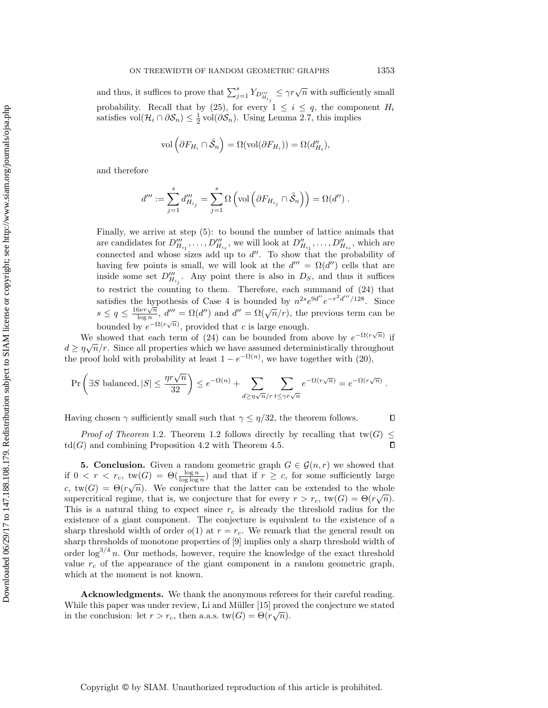and thus, it suffices to prove that  $\sum_{j=1}^{s} Y_{D_{H_{i_j}}^{\prime\prime}} \leq \gamma r \sqrt{n}$  with sufficiently small probability. Recall that by [\(25\)](#page-24-0), for every  $1 \leq i \leq q$ , the component  $H_i$ satisfies vol $(\mathcal{H}_i \cap \partial \mathcal{S}_n) \leq \frac{1}{2}$  vol $(\partial \mathcal{S}_n)$ . Using Lemma [2.7,](#page-9-0) this implies

$$
\text{vol}\left(\partial F_{H_i} \cap \mathring{\mathcal{S}}_n\right) = \Omega(\text{vol}(\partial F_{H_i})) = \Omega(d''_{H_i}),
$$

and therefore

$$
d''':=\sum_{j=1}^s d''_{H_{i_j}}=\sum_{j=1}^s\Omega\left(\text{vol}\left(\partial F_{H_{i_j}}\cap\mathring{\mathcal{S}}_n\right)\right)=\Omega(d'')\;.
$$

Finally, we arrive at step (5): to bound the number of lattice animals that are candidates for  $D''_{H_{i_1}}, \ldots, D''_{H_{i_s}}$ , we will look at  $D''_{H_{i_1}}, \ldots, D''_{H_{i_s}}$ , which are connected and whose sizes add up to  $d''$ . To show that the probability of having few points is small, we will look at the  $d''' = \Omega(d'')$  cells that are inside some set  $D_{H_{i_j}}^{\prime\prime\prime}$ . Any point there is also in  $D_S$ , and thus it suffices to restrict the counting to them. Therefore, each summand of [\(24\)](#page-22-1) that satisfies the hypothesis of Case 4 is bounded by  $n^{2s}e^{9d''}e^{-r^2d'''/128}$ . Since satisfies the hy-<br> $s \leq q \leq \frac{16\nu r\sqrt{n}}{\log n}$  $\frac{\partial \nu r \sqrt{n}}{\partial \sigma n}$ ,  $d'' = \Omega(d'')$  and  $d'' = \Omega(\sqrt{n}/r)$ , the previous term can be bounded by  $e^{-\Omega(r\sqrt{n})}$ , provided that c is large enough.

We showed that each term of [\(24\)](#page-22-1) can be bounded from above by  $e^{-\Omega(r\sqrt{n})}$  if  $d \geq \eta \sqrt{n}/r$ . Since all properties which we have assumed deterministically throughout the proof hold with probability at least  $1 - e^{-\Omega(n)}$ , we have together with [\(20\)](#page-20-0),

$$
\Pr\left(\exists S \text{ balanced}, |S| \le \frac{\eta r \sqrt{n}}{32}\right) \le e^{-\Omega(n)} + \sum_{d \ge \eta \sqrt{n}/r} \sum_{t \le \gamma r \sqrt{n}} e^{-\Omega(r\sqrt{n})} = e^{-\Omega(r\sqrt{n})}.
$$

Having chosen  $\gamma$  sufficiently small such that  $\gamma \leq \eta/32$ , the theorem follows.  $\Box$ 

*Proof of Theorem* [1.2](#page-3-0). Theorem [1.2](#page-3-0) follows directly by recalling that tw(G)  $\leq$  $\text{td}(G)$  and combining Proposition [4.2](#page-16-2) with Theorem [4.5.](#page-20-1)  $\Box$ 

<span id="page-26-0"></span>**5. Conclusion.** Given a random geometric graph  $G \in \mathcal{G}(n,r)$  we showed that if  $0 < r < r_c$ ,  $\text{tw}(G) = \Theta(\frac{\log n}{\log \log n})$  and that if  $r \geq c$ , for some sufficiently large c,  $tw(G) = \Theta(r\sqrt{n})$ . We conjecture that the latter can be extended to the whole supercritical regime, that is, we conjecture that for every  $r > r_c$ ,  $tw(G) = \Theta(r\sqrt{n})$ . This is a natural thing to expect since  $r_c$  is already the threshold radius for the existence of a giant component. The conjecture is equivalent to the existence of a sharp threshold width of order  $o(1)$  at  $r = r_c$ . We remark that the general result on sharp thresholds of monotone properties of [\[9\]](#page-27-3) implies only a sharp threshold width of order  $\log^{3/4} n$ . Our methods, however, require the knowledge of the exact threshold value  $r_c$  of the appearance of the giant component in a random geometric graph, which at the moment is not known.

Acknowledgments. We thank the anonymous referees for their careful reading. While this paper was under review, Li and Müller [\[15\]](#page-27-26) proved the conjecture we stated in the conclusion: let  $r > r_c$ , then a.a.s.  $tw(G) = \Theta(r\sqrt{n}).$